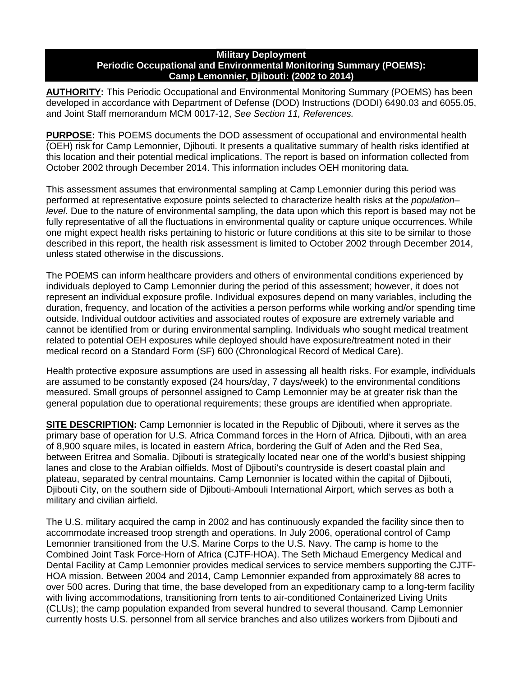#### **Military Deployment Periodic Occupational and Environmental Monitoring Summary (POEMS): Camp Lemonnier, Djibouti: (2002 to 2014)**

**AUTHORITY:** This Periodic Occupational and Environmental Monitoring Summary (POEMS) has been developed in accordance with Department of Defense (DOD) Instructions (DODI) 6490.03 and 6055.05, and Joint Staff memorandum MCM 0017-12, *See Section 11, References.*

**PURPOSE:** This POEMS documents the DOD assessment of occupational and environmental health (OEH) risk for Camp Lemonnier, Djibouti. It presents a qualitative summary of health risks identified at this location and their potential medical implications. The report is based on information collected from October 2002 through December 2014. This information includes OEH monitoring data.

This assessment assumes that environmental sampling at Camp Lemonnier during this period was performed at representative exposure points selected to characterize health risks at the *population– level*. Due to the nature of environmental sampling, the data upon which this report is based may not be fully representative of all the fluctuations in environmental quality or capture unique occurrences. While one might expect health risks pertaining to historic or future conditions at this site to be similar to those described in this report, the health risk assessment is limited to October 2002 through December 2014, unless stated otherwise in the discussions.

The POEMS can inform healthcare providers and others of environmental conditions experienced by individuals deployed to Camp Lemonnier during the period of this assessment; however, it does not represent an individual exposure profile. Individual exposures depend on many variables, including the duration, frequency, and location of the activities a person performs while working and/or spending time outside. Individual outdoor activities and associated routes of exposure are extremely variable and cannot be identified from or during environmental sampling. Individuals who sought medical treatment related to potential OEH exposures while deployed should have exposure/treatment noted in their medical record on a Standard Form (SF) 600 (Chronological Record of Medical Care).

Health protective exposure assumptions are used in assessing all health risks. For example, individuals are assumed to be constantly exposed (24 hours/day, 7 days/week) to the environmental conditions measured. Small groups of personnel assigned to Camp Lemonnier may be at greater risk than the general population due to operational requirements; these groups are identified when appropriate.

**SITE DESCRIPTION:** Camp Lemonnier is located in the Republic of Djibouti, where it serves as the primary base of operation for U.S. Africa Command forces in the Horn of Africa. Djibouti, with an area of 8,900 square miles, is located in eastern Africa, bordering the Gulf of Aden and the Red Sea, between Eritrea and Somalia. Djibouti is strategically located near one of the world's busiest shipping lanes and close to the Arabian oilfields. Most of Djibouti's countryside is desert coastal plain and plateau, separated by central mountains. Camp Lemonnier is located within the capital of Djibouti, Djibouti City, on the southern side of Djibouti-Ambouli International Airport, which serves as both a military and civilian airfield.

The U.S. military acquired the camp in 2002 and has continuously expanded the facility since then to accommodate increased troop strength and operations. In July 2006, operational control of Camp Lemonnier transitioned from the U.S. Marine Corps to the U.S. Navy. The camp is home to the Combined Joint Task Force-Horn of Africa (CJTF-HOA). The Seth Michaud Emergency Medical and Dental Facility at Camp Lemonnier provides medical services to service members supporting the CJTF-HOA mission. Between 2004 and 2014, Camp Lemonnier expanded from approximately 88 acres to over 500 acres. During that time, the base developed from an expeditionary camp to a long-term facility with living accommodations, transitioning from tents to air-conditioned Containerized Living Units (CLUs); the camp population expanded from several hundred to several thousand. Camp Lemonnier currently hosts U.S. personnel from all service branches and also utilizes workers from Djibouti and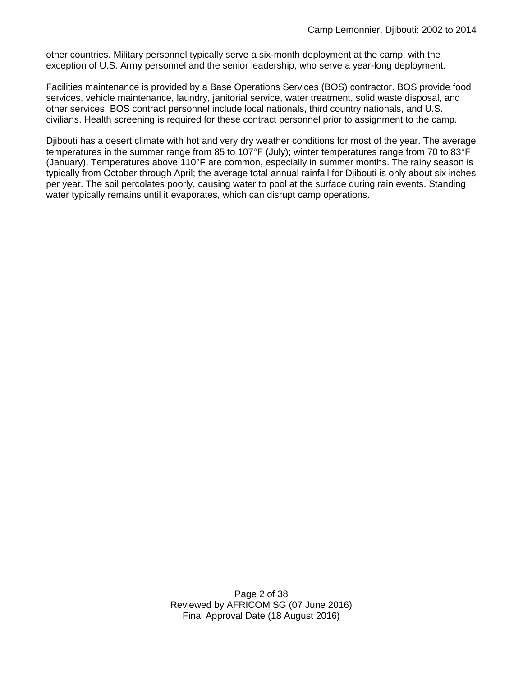other countries. Military personnel typically serve a six-month deployment at the camp, with the exception of U.S. Army personnel and the senior leadership, who serve a year-long deployment.

Facilities maintenance is provided by a Base Operations Services (BOS) contractor. BOS provide food services, vehicle maintenance, laundry, janitorial service, water treatment, solid waste disposal, and other services. BOS contract personnel include local nationals, third country nationals, and U.S. civilians. Health screening is required for these contract personnel prior to assignment to the camp.

Djibouti has a desert climate with hot and very dry weather conditions for most of the year. The average temperatures in the summer range from 85 to 107°F (July); winter temperatures range from 70 to 83°F (January). Temperatures above 110°F are common, especially in summer months. The rainy season is typically from October through April; the average total annual rainfall for Djibouti is only about six inches per year. The soil percolates poorly, causing water to pool at the surface during rain events. Standing water typically remains until it evaporates, which can disrupt camp operations.

> Page 2 of 38 Reviewed by AFRICOM SG (07 June 2016) Final Approval Date (18 August 2016)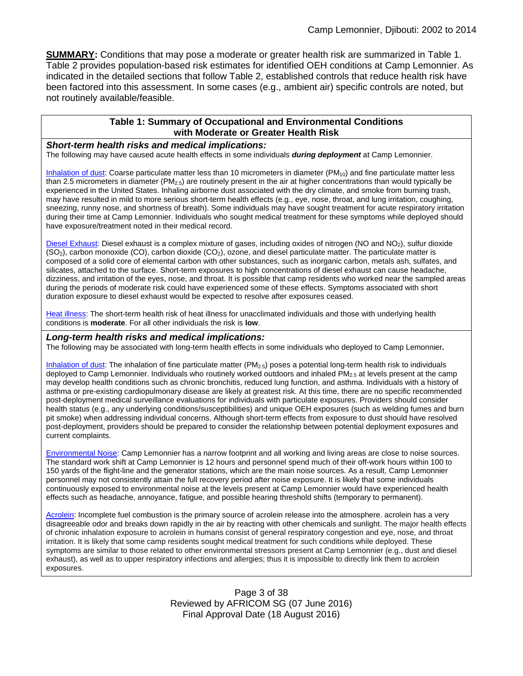**SUMMARY:** Conditions that may pose a moderate or greater health risk are summarized in Table 1. Table 2 provides population-based risk estimates for identified OEH conditions at Camp Lemonnier. As indicated in the detailed sections that follow Table 2, established controls that reduce health risk have been factored into this assessment. In some cases (e.g., ambient air) specific controls are noted, but not routinely available/feasible.

#### **Table 1: Summary of Occupational and Environmental Conditions with Moderate or Greater Health Risk**

#### <span id="page-2-0"></span>*Short-term health risks and medical implications:*

The following may have caused acute health effects in some individuals *during deployment* at Camp Lemonnier.

[Inhalation of dust:](#page-10-0) Coarse particulate matter less than 10 micrometers in diameter (PM<sub>10</sub>) and fine particulate matter less than 2.5 micrometers in diameter (PM<sub>2.5</sub>) are routinely present in the air at higher concentrations than would typically be experienced in the United States. Inhaling airborne dust associated with the dry climate, and smoke from burning trash, may have resulted in mild to more serious short-term health effects (e.g., eye, nose, throat, and lung irritation, coughing, sneezing, runny nose, and shortness of breath). Some individuals may have sought treatment for acute respiratory irritation during their time at Camp Lemonnier. Individuals who sought medical treatment for these symptoms while deployed should have exposure/treatment noted in their medical record.

[Diesel Exhaust:](#page-16-0) Diesel exhaust is a complex mixture of gases, including oxides of nitrogen (NO and NO<sub>2</sub>), sulfur dioxide  $(SO<sub>2</sub>)$ , carbon monoxide (CO), carbon dioxide (CO<sub>2</sub>), ozone, and diesel particulate matter. The particulate matter is composed of a solid core of elemental carbon with other substances, such as inorganic carbon, metals ash, sulfates, and silicates, attached to the surface. Short-term exposures to high concentrations of diesel exhaust can cause headache, dizziness, and irritation of the eyes, nose, and throat. It is possible that camp residents who worked near the sampled areas during the periods of moderate risk could have experienced some of these effects. Symptoms associated with short duration exposure to diesel exhaust would be expected to resolve after exposures ceased.

[Heat illness:](#page-29-0) The short-term health risk of heat illness for unacclimated individuals and those with underlying health conditions is **moderate**. For all other individuals the risk is **low**.

#### *Long-term health risks and medical implications:*

The following may be associated with long-term health effects in some individuals who deployed to Camp Lemonnier*.*

[Inhalation of dust:](#page-11-0) The inhalation of fine particulate matter  $(PM_{2.5})$  poses a potential long-term health risk to individuals deployed to Camp Lemonnier. Individuals who routinely worked outdoors and inhaled  $PM_{2.5}$  at levels present at the camp may develop health conditions such as chronic bronchitis, reduced lung function, and asthma. Individuals with a history of asthma or pre-existing cardiopulmonary disease are likely at greatest risk. At this time, there are no specific recommended post-deployment medical surveillance evaluations for individuals with particulate exposures. Providers should consider health status (e.g., any underlying conditions/susceptibilities) and unique OEH exposures (such as welding fumes and burn pit smoke) when addressing individual concerns. Although short-term effects from exposure to dust should have resolved post-deployment, providers should be prepared to consider the relationship between potential deployment exposures and current complaints.

[Environmental Noise:](#page-31-0) Camp Lemonnier has a narrow footprint and all working and living areas are close to noise sources. The standard work shift at Camp Lemonnier is 12 hours and personnel spend much of their off-work hours within 100 to 150 yards of the flight-line and the generator stations, which are the main noise sources. As a result, Camp Lemonnier personnel may not consistently attain the full recovery period after noise exposure. It is likely that some individuals continuously exposed to environmental noise at the levels present at Camp Lemonnier would have experienced health effects such as headache, annoyance, fatigue, and possible hearing threshold shifts (temporary to permanent).

[Acrolein:](#page-13-0) Incomplete fuel combustion is the primary source of acrolein release into the atmosphere. acrolein has a very disagreeable odor and breaks down rapidly in the air by reacting with other chemicals and sunlight. The major health effects of chronic inhalation exposure to acrolein in humans consist of general respiratory congestion and eye, nose, and throat irritation. It is likely that some camp residents sought medical treatment for such conditions while deployed. These symptoms are similar to those related to other environmental stressors present at Camp Lemonnier (e.g., dust and diesel exhaust), as well as to upper respiratory infections and allergies; thus it is impossible to directly link them to acrolein exposures.

> Page 3 of 38 Reviewed by AFRICOM SG (07 June 2016) Final Approval Date (18 August 2016)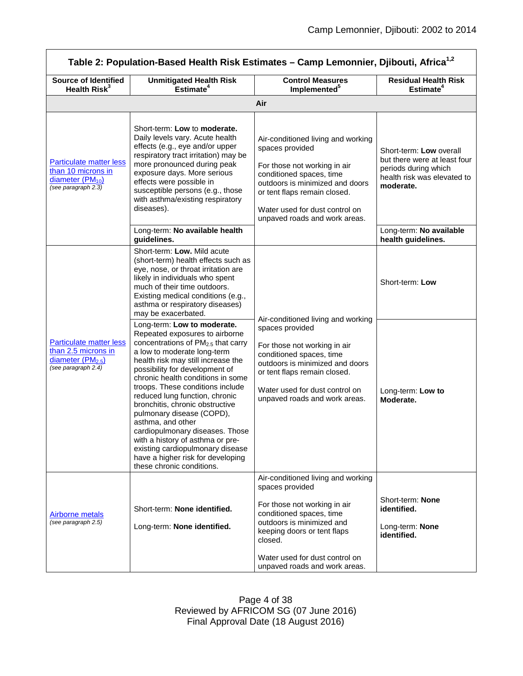<span id="page-3-1"></span><span id="page-3-0"></span>

| Table 2: Population-Based Health Risk Estimates - Camp Lemonnier, Djibouti, Africa <sup>1,2</sup>                           |                                                                                                                                                                                                                                                                                                                                                                                                                                                                                                                                                                                                     |                                                                                                                                                                                                                                                             |                                                                                                                             |  |
|-----------------------------------------------------------------------------------------------------------------------------|-----------------------------------------------------------------------------------------------------------------------------------------------------------------------------------------------------------------------------------------------------------------------------------------------------------------------------------------------------------------------------------------------------------------------------------------------------------------------------------------------------------------------------------------------------------------------------------------------------|-------------------------------------------------------------------------------------------------------------------------------------------------------------------------------------------------------------------------------------------------------------|-----------------------------------------------------------------------------------------------------------------------------|--|
| <b>Source of Identified</b><br>Health Risk <sup>3</sup>                                                                     | <b>Unmitigated Health Risk</b><br>Estimate <sup>4</sup>                                                                                                                                                                                                                                                                                                                                                                                                                                                                                                                                             | <b>Control Measures</b><br>Implemented <sup>5</sup>                                                                                                                                                                                                         | <b>Residual Health Risk</b><br>Estimate <sup>4</sup>                                                                        |  |
|                                                                                                                             |                                                                                                                                                                                                                                                                                                                                                                                                                                                                                                                                                                                                     | Air                                                                                                                                                                                                                                                         |                                                                                                                             |  |
| <b>Particulate matter less</b><br>than 10 microns in<br>diameter (PM <sub>10</sub> )<br>(see paragraph 2.3)                 | Short-term: Low to moderate.<br>Daily levels vary. Acute health<br>effects (e.g., eye and/or upper<br>respiratory tract irritation) may be<br>more pronounced during peak<br>exposure days. More serious<br>effects were possible in<br>susceptible persons (e.g., those<br>with asthma/existing respiratory<br>diseases).                                                                                                                                                                                                                                                                          | Air-conditioned living and working<br>spaces provided<br>For those not working in air<br>conditioned spaces, time<br>outdoors is minimized and doors<br>or tent flaps remain closed.<br>Water used for dust control on<br>unpaved roads and work areas.     | Short-term: Low overall<br>but there were at least four<br>periods during which<br>health risk was elevated to<br>moderate. |  |
|                                                                                                                             | Long-term: No available health<br>guidelines.                                                                                                                                                                                                                                                                                                                                                                                                                                                                                                                                                       |                                                                                                                                                                                                                                                             | Long-term: No available<br>health guidelines.                                                                               |  |
| <b>Particulate matter less</b><br>than 2.5 microns in<br>diameter (PM <sub>2.5</sub> )<br>(see paragraph $2.\overline{4}$ ) | Short-term: Low. Mild acute<br>(short-term) health effects such as<br>eye, nose, or throat irritation are<br>likely in individuals who spent<br>much of their time outdoors.<br>Existing medical conditions (e.g.,<br>asthma or respiratory diseases)<br>may be exacerbated.                                                                                                                                                                                                                                                                                                                        |                                                                                                                                                                                                                                                             | Short-term: Low                                                                                                             |  |
|                                                                                                                             | Long-term: Low to moderate.<br>Repeated exposures to airborne<br>concentrations of PM <sub>2.5</sub> that carry<br>a low to moderate long-term<br>health risk may still increase the<br>possibility for development of<br>chronic health conditions in some<br>troops. These conditions include<br>reduced lung function, chronic<br>bronchitis, chronic obstructive<br>pulmonary disease (COPD),<br>asthma, and other<br>cardiopulmonary diseases. Those<br>with a history of asthma or pre-<br>existing cardiopulmonary disease<br>have a higher risk for developing<br>these chronic conditions. | Air-conditioned living and working<br>spaces provided<br>For those not working in air<br>conditioned spaces, time<br>outdoors is minimized and doors<br>or tent flaps remain closed.<br>Water used for dust control on<br>unpaved roads and work areas.     | Long-term: Low to<br>Moderate.                                                                                              |  |
| <b>Airborne metals</b><br>(see paragraph 2.5)                                                                               | Short-term: None identified.<br>Long-term: None identified.                                                                                                                                                                                                                                                                                                                                                                                                                                                                                                                                         | Air-conditioned living and working<br>spaces provided<br>For those not working in air<br>conditioned spaces, time<br>outdoors is minimized and<br>keeping doors or tent flaps<br>closed.<br>Water used for dust control on<br>unpaved roads and work areas. | Short-term: None<br>identified.<br>Long-term: None<br>identified.                                                           |  |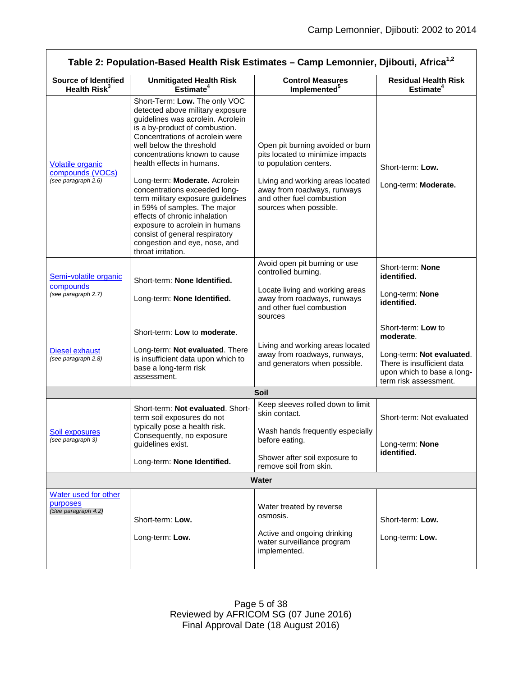<span id="page-4-3"></span><span id="page-4-2"></span><span id="page-4-1"></span><span id="page-4-0"></span>

| Table 2: Population-Based Health Risk Estimates - Camp Lemonnier, Djibouti, Africa <sup>1,2</sup> |                                                                                                                                                                                                                                                                                                                                                                                                                                                                                                                                                                          |                                                                                                                                                                                                                          |                                                                                                                                                   |  |
|---------------------------------------------------------------------------------------------------|--------------------------------------------------------------------------------------------------------------------------------------------------------------------------------------------------------------------------------------------------------------------------------------------------------------------------------------------------------------------------------------------------------------------------------------------------------------------------------------------------------------------------------------------------------------------------|--------------------------------------------------------------------------------------------------------------------------------------------------------------------------------------------------------------------------|---------------------------------------------------------------------------------------------------------------------------------------------------|--|
| <b>Source of Identified</b><br>Health Risk <sup>3</sup>                                           | <b>Unmitigated Health Risk</b><br>Estimate <sup>4</sup>                                                                                                                                                                                                                                                                                                                                                                                                                                                                                                                  | <b>Control Measures</b><br>Implemented <sup>5</sup>                                                                                                                                                                      | <b>Residual Health Risk</b><br>Estimate <sup>4</sup>                                                                                              |  |
| <b>Volatile organic</b><br>compounds (VOCs)<br>(see paragraph 2.6)                                | Short-Term: Low. The only VOC<br>detected above military exposure<br>guidelines was acrolein. Acrolein<br>is a by-product of combustion.<br>Concentrations of acrolein were<br>well below the threshold<br>concentrations known to cause<br>health effects in humans.<br>Long-term: Moderate. Acrolein<br>concentrations exceeded long-<br>term military exposure guidelines<br>in 59% of samples. The major<br>effects of chronic inhalation<br>exposure to acrolein in humans<br>consist of general respiratory<br>congestion and eye, nose, and<br>throat irritation. | Open pit burning avoided or burn<br>pits located to minimize impacts<br>to population centers.<br>Living and working areas located<br>away from roadways, runways<br>and other fuel combustion<br>sources when possible. | Short-term: Low.<br>Long-term: Moderate.                                                                                                          |  |
| Semi-volatile organic<br>compounds<br>(see paragraph 2.7)                                         | Short-term: None Identified.<br>Long-term: None Identified.                                                                                                                                                                                                                                                                                                                                                                                                                                                                                                              | Avoid open pit burning or use<br>controlled burning.<br>Locate living and working areas<br>away from roadways, runways<br>and other fuel combustion<br>sources                                                           | Short-term: None<br>identified.<br>Long-term: None<br>identified.                                                                                 |  |
| <b>Diesel exhaust</b><br>(see paragraph 2.8)                                                      | Short-term: Low to moderate.<br>Long-term: Not evaluated. There<br>is insufficient data upon which to<br>base a long-term risk<br>assessment.                                                                                                                                                                                                                                                                                                                                                                                                                            | Living and working areas located<br>away from roadways, runways,<br>and generators when possible.                                                                                                                        | Short-term: Low to<br>moderate.<br>Long-term: Not evaluated.<br>There is insufficient data<br>upon which to base a long-<br>term risk assessment. |  |
|                                                                                                   |                                                                                                                                                                                                                                                                                                                                                                                                                                                                                                                                                                          | Soil                                                                                                                                                                                                                     |                                                                                                                                                   |  |
| <b>Soil exposures</b><br>(see paragraph 3)                                                        | Short-term: Not evaluated. Short-<br>term soil exposures do not<br>typically pose a health risk.<br>Consequently, no exposure<br>quidelines exist.<br>Long-term: None Identified.                                                                                                                                                                                                                                                                                                                                                                                        | Keep sleeves rolled down to limit<br>skin contact.<br>Wash hands frequently especially<br>before eating.<br>Shower after soil exposure to<br>remove soil from skin.                                                      | Short-term: Not evaluated<br>Long-term: None<br>identified.                                                                                       |  |
| Water                                                                                             |                                                                                                                                                                                                                                                                                                                                                                                                                                                                                                                                                                          |                                                                                                                                                                                                                          |                                                                                                                                                   |  |
| Water used for other                                                                              |                                                                                                                                                                                                                                                                                                                                                                                                                                                                                                                                                                          |                                                                                                                                                                                                                          |                                                                                                                                                   |  |
| purposes<br>(See paragraph 4.2)                                                                   | Short-term: Low.<br>Long-term: Low.                                                                                                                                                                                                                                                                                                                                                                                                                                                                                                                                      | Water treated by reverse<br>osmosis.<br>Active and ongoing drinking<br>water surveillance program<br>implemented.                                                                                                        | Short-term: Low.<br>Long-term: Low.                                                                                                               |  |
|                                                                                                   |                                                                                                                                                                                                                                                                                                                                                                                                                                                                                                                                                                          |                                                                                                                                                                                                                          |                                                                                                                                                   |  |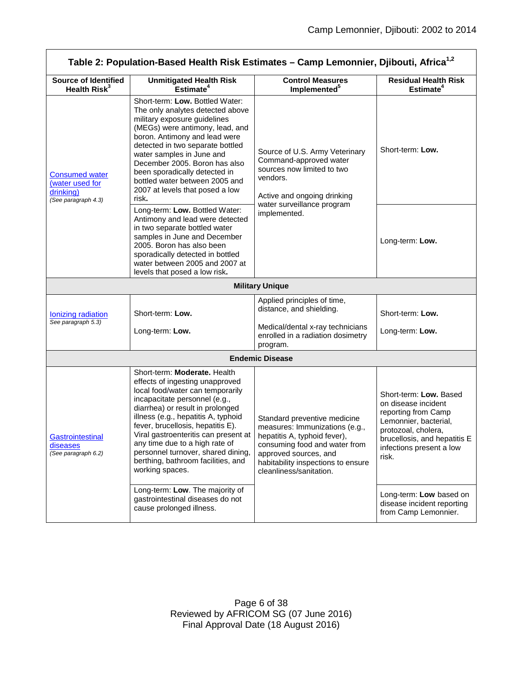┑

<span id="page-5-2"></span><span id="page-5-1"></span><span id="page-5-0"></span>

| Table 2: Population-Based Health Risk Estimates - Camp Lemonnier, Djibouti, Africa <sup>1,2</sup> |                                                                                                                                                                                                                                                                                                                                                                                                                               |                                                                                                                                                                                                                           |                                                                                                                                                                                           |  |  |
|---------------------------------------------------------------------------------------------------|-------------------------------------------------------------------------------------------------------------------------------------------------------------------------------------------------------------------------------------------------------------------------------------------------------------------------------------------------------------------------------------------------------------------------------|---------------------------------------------------------------------------------------------------------------------------------------------------------------------------------------------------------------------------|-------------------------------------------------------------------------------------------------------------------------------------------------------------------------------------------|--|--|
| <b>Source of Identified</b><br>Health Risk <sup>3</sup>                                           | <b>Unmitigated Health Risk</b><br>Estimate <sup>4</sup>                                                                                                                                                                                                                                                                                                                                                                       | <b>Control Measures</b><br>Implemented <sup>5</sup>                                                                                                                                                                       | <b>Residual Health Risk</b><br>Estimate <sup>4</sup>                                                                                                                                      |  |  |
| <b>Consumed water</b><br>(water used for<br>drinking)<br>(See paragraph 4.3)                      | Short-term: Low. Bottled Water:<br>The only analytes detected above<br>military exposure guidelines<br>(MEGs) were antimony, lead, and<br>boron. Antimony and lead were<br>detected in two separate bottled<br>water samples in June and<br>December 2005. Boron has also<br>been sporadically detected in<br>bottled water between 2005 and<br>2007 at levels that posed a low<br>risk.                                      | Source of U.S. Army Veterinary<br>Command-approved water<br>sources now limited to two<br>vendors.<br>Active and ongoing drinking<br>water surveillance program                                                           | Short-term: Low.                                                                                                                                                                          |  |  |
|                                                                                                   | Long-term: Low. Bottled Water:<br>Antimony and lead were detected<br>in two separate bottled water<br>samples in June and December<br>2005. Boron has also been<br>sporadically detected in bottled<br>water between 2005 and 2007 at<br>levels that posed a low risk.                                                                                                                                                        | implemented.                                                                                                                                                                                                              | Long-term: Low.                                                                                                                                                                           |  |  |
|                                                                                                   | <b>Military Unique</b>                                                                                                                                                                                                                                                                                                                                                                                                        |                                                                                                                                                                                                                           |                                                                                                                                                                                           |  |  |
| Ionizing radiation<br>See paragraph 5.3)                                                          | Short-term: Low.<br>Long-term: Low.                                                                                                                                                                                                                                                                                                                                                                                           | Applied principles of time,<br>distance, and shielding.<br>Medical/dental x-ray technicians<br>enrolled in a radiation dosimetry<br>program.                                                                              | Short-term: Low.<br>Long-term: Low.                                                                                                                                                       |  |  |
| <b>Endemic Disease</b>                                                                            |                                                                                                                                                                                                                                                                                                                                                                                                                               |                                                                                                                                                                                                                           |                                                                                                                                                                                           |  |  |
| Gastrointestinal<br>diseases<br>(See paragraph 6.2)                                               | Short-term: Moderate. Health<br>effects of ingesting unapproved<br>local food/water can temporarily<br>incapacitate personnel (e.g.,<br>diarrhea) or result in prolonged<br>illness (e.g., hepatitis A, typhoid<br>fever, brucellosis, hepatitis E).<br>Viral gastroenteritis can present at<br>any time due to a high rate of<br>personnel turnover, shared dining,<br>berthing, bathroom facilities, and<br>working spaces. | Standard preventive medicine<br>measures: Immunizations (e.g.,<br>hepatitis A, typhoid fever),<br>consuming food and water from<br>approved sources, and<br>habitability inspections to ensure<br>cleanliness/sanitation. | Short-term: Low. Based<br>on disease incident<br>reporting from Camp<br>Lemonnier, bacterial,<br>protozoal, cholera,<br>brucellosis, and hepatitis E<br>infections present a low<br>risk. |  |  |
|                                                                                                   | Long-term: Low. The majority of<br>gastrointestinal diseases do not<br>cause prolonged illness.                                                                                                                                                                                                                                                                                                                               |                                                                                                                                                                                                                           | Long-term: Low based on<br>disease incident reporting<br>from Camp Lemonnier.                                                                                                             |  |  |

r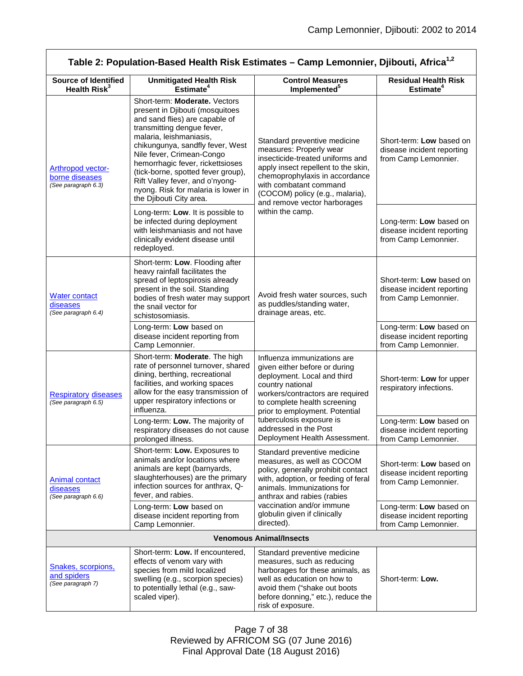<span id="page-6-0"></span>

| Table 2: Population-Based Health Risk Estimates - Camp Lemonnier, Djibouti, Africa <sup>1,2</sup> |                                                                                                                                                                                                                                                                                                                                                                                                             |                                                                                                                                                                                                                                                                   |                                                                                |  |
|---------------------------------------------------------------------------------------------------|-------------------------------------------------------------------------------------------------------------------------------------------------------------------------------------------------------------------------------------------------------------------------------------------------------------------------------------------------------------------------------------------------------------|-------------------------------------------------------------------------------------------------------------------------------------------------------------------------------------------------------------------------------------------------------------------|--------------------------------------------------------------------------------|--|
| <b>Source of Identified</b><br>Health Risk <sup>3</sup>                                           | <b>Unmitigated Health Risk</b><br>Estimate <sup>4</sup>                                                                                                                                                                                                                                                                                                                                                     | <b>Control Measures</b><br>Implemented <sup>5</sup>                                                                                                                                                                                                               | <b>Residual Health Risk</b><br>Estimate <sup>4</sup>                           |  |
| <b>Arthropod vector-</b><br>borne diseases<br>(See paragraph 6.3)                                 | Short-term: Moderate. Vectors<br>present in Djibouti (mosquitoes<br>and sand flies) are capable of<br>transmitting dengue fever,<br>malaria, leishmaniasis,<br>chikungunya, sandfly fever, West<br>Nile fever, Crimean-Congo<br>hemorrhagic fever, rickettsioses<br>(tick-borne, spotted fever group),<br>Rift Valley fever, and o'nyong-<br>nyong. Risk for malaria is lower in<br>the Djibouti City area. | Standard preventive medicine<br>measures: Properly wear<br>insecticide-treated uniforms and<br>apply insect repellent to the skin,<br>chemoprophylaxis in accordance<br>with combatant command<br>(COCOM) policy (e.g., malaria),<br>and remove vector harborages | Short-term: Low based on<br>disease incident reporting<br>from Camp Lemonnier. |  |
|                                                                                                   | Long-term: Low. It is possible to<br>be infected during deployment<br>with leishmaniasis and not have<br>clinically evident disease until<br>redeployed.                                                                                                                                                                                                                                                    | within the camp.                                                                                                                                                                                                                                                  | Long-term: Low based on<br>disease incident reporting<br>from Camp Lemonnier.  |  |
| <b>Water contact</b><br>diseases<br>(See paragraph 6.4)                                           | Short-term: Low. Flooding after<br>heavy rainfall facilitates the<br>spread of leptospirosis already<br>present in the soil. Standing<br>bodies of fresh water may support<br>the snail vector for<br>schistosomiasis.                                                                                                                                                                                      | Avoid fresh water sources, such<br>as puddles/standing water,<br>drainage areas, etc.                                                                                                                                                                             | Short-term: Low based on<br>disease incident reporting<br>from Camp Lemonnier. |  |
|                                                                                                   | Long-term: Low based on<br>disease incident reporting from<br>Camp Lemonnier.                                                                                                                                                                                                                                                                                                                               |                                                                                                                                                                                                                                                                   | Long-term: Low based on<br>disease incident reporting<br>from Camp Lemonnier.  |  |
| <b>Respiratory diseases</b><br>(See paragraph 6.5)                                                | Short-term: Moderate. The high<br>rate of personnel turnover, shared<br>dining, berthing, recreational<br>facilities, and working spaces<br>allow for the easy transmission of<br>upper respiratory infections or<br>influenza.                                                                                                                                                                             | Influenza immunizations are<br>given either before or during<br>deployment. Local and third<br>country national<br>workers/contractors are required<br>to complete health screening<br>prior to employment. Potential                                             | Short-term: Low for upper<br>respiratory infections.                           |  |
|                                                                                                   | Long-term: Low. The majority of<br>respiratory diseases do not cause<br>prolonged illness.                                                                                                                                                                                                                                                                                                                  | tuberculosis exposure is<br>addressed in the Post<br>Deployment Health Assessment.                                                                                                                                                                                | Long-term: Low based on<br>disease incident reporting<br>from Camp Lemonnier.  |  |
| Animal contact<br>diseases<br>(See paragraph 6.6)                                                 | Short-term: Low. Exposures to<br>animals and/or locations where<br>animals are kept (barnyards,<br>slaughterhouses) are the primary<br>infection sources for anthrax, Q-<br>fever, and rabies.                                                                                                                                                                                                              | Standard preventive medicine<br>measures, as well as COCOM<br>policy, generally prohibit contact<br>with, adoption, or feeding of feral<br>animals. Immunizations for<br>anthrax and rabies (rabies                                                               | Short-term: Low based on<br>disease incident reporting<br>from Camp Lemonnier. |  |
|                                                                                                   | Long-term: Low based on<br>disease incident reporting from<br>Camp Lemonnier.                                                                                                                                                                                                                                                                                                                               | vaccination and/or immune<br>globulin given if clinically<br>directed).                                                                                                                                                                                           | Long-term: Low based on<br>disease incident reporting<br>from Camp Lemonnier.  |  |
| <b>Venomous Animal/Insects</b>                                                                    |                                                                                                                                                                                                                                                                                                                                                                                                             |                                                                                                                                                                                                                                                                   |                                                                                |  |
| Snakes, scorpions,<br>and spiders<br>(See paragraph 7)                                            | Short-term: Low. If encountered,<br>effects of venom vary with<br>species from mild localized<br>swelling (e.g., scorpion species)<br>to potentially lethal (e.g., saw-<br>scaled viper).                                                                                                                                                                                                                   | Standard preventive medicine<br>measures, such as reducing<br>harborages for these animals, as<br>well as education on how to<br>avoid them ("shake out boots<br>before donning," etc.), reduce the<br>risk of exposure.                                          | Short-term: Low.                                                               |  |

<span id="page-6-2"></span><span id="page-6-1"></span>Page 7 of 38 Reviewed by AFRICOM SG (07 June 2016) Final Approval Date (18 August 2016)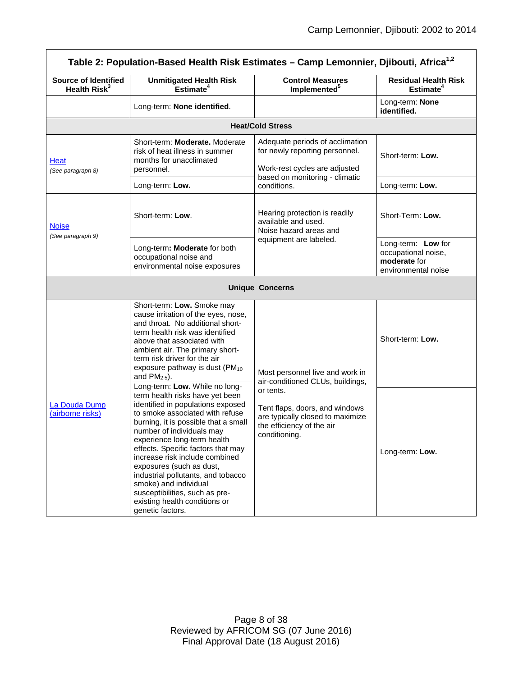<span id="page-7-2"></span><span id="page-7-1"></span><span id="page-7-0"></span>

| Table 2: Population-Based Health Risk Estimates - Camp Lemonnier, Djibouti, Africa <sup>1,2</sup> |                                                                                                                                                                                                                                                                                                                                                                                                                                                                                                         |                                                                                                                                      |                                                                                  |  |
|---------------------------------------------------------------------------------------------------|---------------------------------------------------------------------------------------------------------------------------------------------------------------------------------------------------------------------------------------------------------------------------------------------------------------------------------------------------------------------------------------------------------------------------------------------------------------------------------------------------------|--------------------------------------------------------------------------------------------------------------------------------------|----------------------------------------------------------------------------------|--|
| <b>Source of Identified</b><br>Health $Risk^3$                                                    | <b>Unmitigated Health Risk</b><br>Estimate <sup>4</sup>                                                                                                                                                                                                                                                                                                                                                                                                                                                 | <b>Control Measures</b><br>Implemented <sup>5</sup>                                                                                  | <b>Residual Health Risk</b><br>Estimate <sup>4</sup>                             |  |
|                                                                                                   | Long-term: None identified.                                                                                                                                                                                                                                                                                                                                                                                                                                                                             |                                                                                                                                      | Long-term: None<br>identified.                                                   |  |
|                                                                                                   |                                                                                                                                                                                                                                                                                                                                                                                                                                                                                                         | <b>Heat/Cold Stress</b>                                                                                                              |                                                                                  |  |
| Heat<br>(See paragraph 8)                                                                         | Short-term: Moderate, Moderate<br>risk of heat illness in summer<br>months for unacclimated<br>personnel.                                                                                                                                                                                                                                                                                                                                                                                               | Adequate periods of acclimation<br>for newly reporting personnel.<br>Work-rest cycles are adjusted<br>based on monitoring - climatic | Short-term: Low.                                                                 |  |
|                                                                                                   | Long-term: Low.                                                                                                                                                                                                                                                                                                                                                                                                                                                                                         | conditions.                                                                                                                          | Long-term: Low.                                                                  |  |
| <b>Noise</b><br>(See paragraph 9)                                                                 | Short-term: Low.                                                                                                                                                                                                                                                                                                                                                                                                                                                                                        | Hearing protection is readily<br>available and used.<br>Noise hazard areas and                                                       | Short-Term: Low.                                                                 |  |
|                                                                                                   | Long-term: Moderate for both<br>occupational noise and<br>environmental noise exposures                                                                                                                                                                                                                                                                                                                                                                                                                 | equipment are labeled.                                                                                                               | Long-term: Low for<br>occupational noise,<br>moderate for<br>environmental noise |  |
|                                                                                                   |                                                                                                                                                                                                                                                                                                                                                                                                                                                                                                         | <b>Unique Concerns</b>                                                                                                               |                                                                                  |  |
|                                                                                                   | Short-term: Low. Smoke may<br>cause irritation of the eyes, nose,<br>and throat. No additional short-<br>term health risk was identified<br>above that associated with<br>ambient air. The primary short-<br>term risk driver for the air<br>exposure pathway is dust (PM <sub>10</sub><br>and $PM2.5$ ).                                                                                                                                                                                               | Most personnel live and work in<br>air-conditioned CLUs, buildings,                                                                  | Short-term: Low.                                                                 |  |
| La Douda Dump<br>(airborne risks)                                                                 | Long-term: Low. While no long-<br>term health risks have yet been<br>identified in populations exposed<br>to smoke associated with refuse<br>burning, it is possible that a small<br>number of individuals may<br>experience long-term health<br>effects. Specific factors that may<br>increase risk include combined<br>exposures (such as dust,<br>industrial pollutants, and tobacco<br>smoke) and individual<br>susceptibilities, such as pre-<br>existing health conditions or<br>genetic factors. | or tents.<br>Tent flaps, doors, and windows<br>are typically closed to maximize<br>the efficiency of the air<br>conditioning.        | Long-term: Low.                                                                  |  |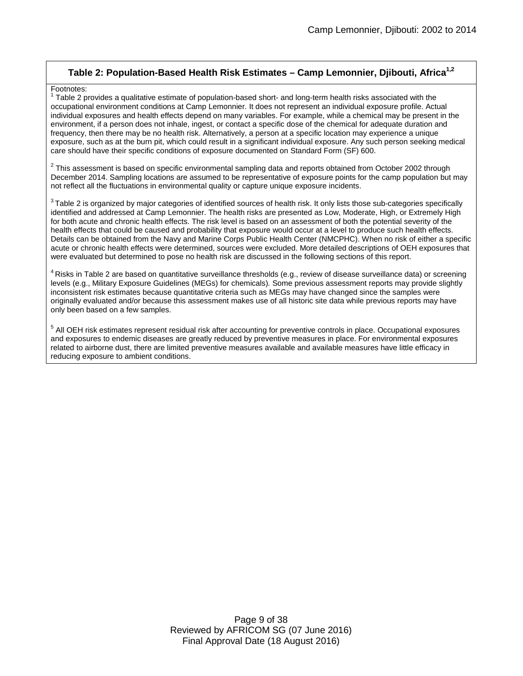### **Table 2: Population-Based Health Risk Estimates – Camp Lemonnier, Djibouti, Africa1,2**

#### Footnotes:

 $1$  Table 2 provides a qualitative estimate of population-based short- and long-term health risks associated with the occupational environment conditions at Camp Lemonnier. It does not represent an individual exposure profile. Actual individual exposures and health effects depend on many variables. For example, while a chemical may be present in the environment, if a person does not inhale, ingest, or contact a specific dose of the chemical for adequate duration and frequency, then there may be no health risk. Alternatively, a person at a specific location may experience a unique exposure, such as at the burn pit, which could result in a significant individual exposure. Any such person seeking medical care should have their specific conditions of exposure documented on Standard Form (SF) 600.

 $2$  This assessment is based on specific environmental sampling data and reports obtained from October 2002 through December 2014. Sampling locations are assumed to be representative of exposure points for the camp population but may not reflect all the fluctuations in environmental quality or capture unique exposure incidents.

 $3$ Table 2 is organized by maior categories of identified sources of health risk. It only lists those sub-categories specifically identified and addressed at Camp Lemonnier. The health risks are presented as Low, Moderate, High, or Extremely High for both acute and chronic health effects. The risk level is based on an assessment of both the potential severity of the health effects that could be caused and probability that exposure would occur at a level to produce such health effects. Details can be obtained from the Navy and Marine Corps Public Health Center (NMCPHC). When no risk of either a specific acute or chronic health effects were determined, sources were excluded. More detailed descriptions of OEH exposures that were evaluated but determined to pose no health risk are discussed in the following sections of this report.

 $4$  Risks in Table 2 are based on quantitative surveillance thresholds (e.g., review of disease surveillance data) or screening levels (e.g., Military Exposure Guidelines (MEGs) for chemicals)*.* Some previous assessment reports may provide slightly inconsistent risk estimates because quantitative criteria such as MEGs may have changed since the samples were originally evaluated and/or because this assessment makes use of all historic site data while previous reports may have only been based on a few samples.

<sup>5</sup> All OEH risk estimates represent residual risk after accounting for preventive controls in place. Occupational exposures and exposures to endemic diseases are greatly reduced by preventive measures in place. For environmental exposures related to airborne dust, there are limited preventive measures available and available measures have little efficacy in reducing exposure to ambient conditions.

> Page 9 of 38 Reviewed by AFRICOM SG (07 June 2016) Final Approval Date (18 August 2016)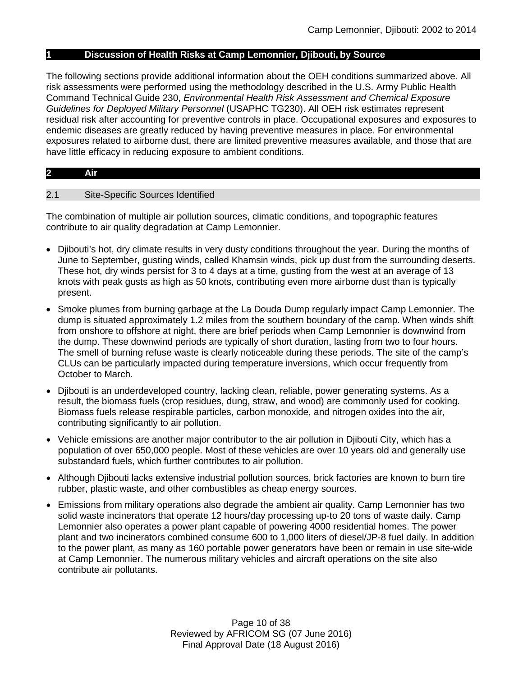#### **1 Discussion of Health Risks at Camp Lemonnier, Djibouti, by Source**

The following sections provide additional information about the OEH conditions summarized above. All risk assessments were performed using the methodology described in the U.S. Army Public Health Command Technical Guide 230, *Environmental Health Risk Assessment and Chemical Exposure Guidelines for Deployed Military Personnel* (USAPHC TG230). All OEH risk estimates represent residual risk after accounting for preventive controls in place. Occupational exposures and exposures to endemic diseases are greatly reduced by having preventive measures in place. For environmental exposures related to airborne dust, there are limited preventive measures available, and those that are have little efficacy in reducing exposure to ambient conditions.

#### **2 Air**

#### 2.1 Site-Specific Sources Identified

The combination of multiple air pollution sources, climatic conditions, and topographic features contribute to air quality degradation at Camp Lemonnier.

- Djibouti's hot, dry climate results in very dusty conditions throughout the year. During the months of June to September, gusting winds, called Khamsin winds, pick up dust from the surrounding deserts. These hot, dry winds persist for 3 to 4 days at a time, gusting from the west at an average of 13 knots with peak gusts as high as 50 knots, contributing even more airborne dust than is typically present.
- Smoke plumes from burning garbage at the La Douda Dump regularly impact Camp Lemonnier. The dump is situated approximately 1.2 miles from the southern boundary of the camp. When winds shift from onshore to offshore at night, there are brief periods when Camp Lemonnier is downwind from the dump. These downwind periods are typically of short duration, lasting from two to four hours. The smell of burning refuse waste is clearly noticeable during these periods. The site of the camp's CLUs can be particularly impacted during temperature inversions, which occur frequently from October to March.
- Djibouti is an underdeveloped country, lacking clean, reliable, power generating systems. As a result, the biomass fuels (crop residues, dung, straw, and wood) are commonly used for cooking. Biomass fuels release respirable particles, carbon monoxide, and nitrogen oxides into the air, contributing significantly to air pollution.
- Vehicle emissions are another major contributor to the air pollution in Djibouti City, which has a population of over 650,000 people. Most of these vehicles are over 10 years old and generally use substandard fuels, which further contributes to air pollution.
- Although Djibouti lacks extensive industrial pollution sources, brick factories are known to burn tire rubber, plastic waste, and other combustibles as cheap energy sources.
- Emissions from military operations also degrade the ambient air quality. Camp Lemonnier has two solid waste incinerators that operate 12 hours/day processing up-to 20 tons of waste daily. Camp Lemonnier also operates a power plant capable of powering 4000 residential homes. The power plant and two incinerators combined consume 600 to 1,000 liters of diesel/JP-8 fuel daily. In addition to the power plant, as many as 160 portable power generators have been or remain in use site-wide at Camp Lemonnier. The numerous military vehicles and aircraft operations on the site also contribute air pollutants.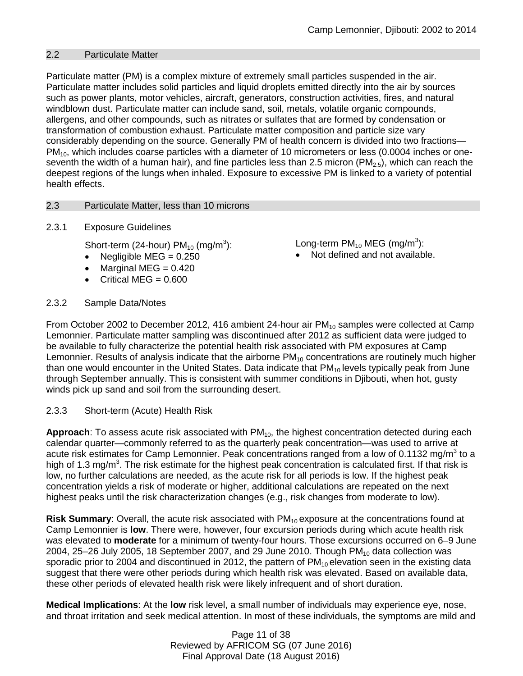### 2.2 Particulate Matter

Particulate matter (PM) is a complex mixture of extremely small particles suspended in the air. Particulate matter includes solid particles and liquid droplets emitted directly into the air by sources such as power plants, motor vehicles, aircraft, generators, construction activities, fires, and natural windblown dust. Particulate matter can include sand, soil, metals, volatile organic compounds, allergens, and other compounds, such as nitrates or sulfates that are formed by condensation or transformation of combustion exhaust. Particulate matter composition and particle size vary considerably depending on the source. Generally PM of health concern is divided into two fractions—  $PM<sub>10</sub>$ , which includes coarse particles with a diameter of 10 micrometers or less (0.0004 inches or oneseventh the width of a human hair), and fine particles less than 2.5 micron ( $PM<sub>2.5</sub>$ ), which can reach the deepest regions of the lungs when inhaled. Exposure to excessive PM is linked to a variety of potential health effects.

### <span id="page-10-0"></span>2.3 Particulate Matter, less than 10 microns

### 2.3.1 Exposure Guidelines

Short-term (24-hour)  $PM_{10}$  (mg/m<sup>3</sup>):

- Negligible  $MEG = 0.250$
- Marginal MEG  $= 0.420$
- Critical MEG  $= 0.600$

## 2.3.2 Sample Data/Notes

Long-term PM $_{10}$  MEG (mg/m $^3$ ):

• Not defined and not available.

From October 2002 to December 2012, 416 ambient 24-hour air  $PM_{10}$  samples were collected at Camp Lemonnier. Particulate matter sampling was discontinued after 2012 as sufficient data were judged to be available to fully characterize the potential health risk associated with PM exposures at Camp Lemonnier. Results of analysis indicate that the airborne  $PM_{10}$  concentrations are routinely much higher than one would encounter in the United States. Data indicate that  $PM_{10}$  levels typically peak from June through September annually. This is consistent with summer conditions in Djibouti, when hot, gusty winds pick up sand and soil from the surrounding desert.

### 2.3.3 Short-term (Acute) Health Risk

Approach: To assess acute risk associated with PM<sub>10</sub>, the highest concentration detected during each calendar quarter—commonly referred to as the quarterly peak concentration—was used to arrive at acute risk estimates for Camp Lemonnier. Peak concentrations ranged from a low of 0.1132 mg/m<sup>3</sup> to a high of 1.3 mg/m<sup>3</sup>. The risk estimate for the highest peak concentration is calculated first. If that risk is low, no further calculations are needed, as the acute risk for all periods is low. If the highest peak concentration yields a risk of moderate or higher, additional calculations are repeated on the next highest peaks until the risk characterization changes (e.g., risk changes from moderate to low).

**Risk Summary:** Overall, the acute risk associated with PM<sub>10</sub> exposure at the concentrations found at Camp Lemonnier is **low**. There were, however, four excursion periods during which acute health risk was elevated to **moderate** for a minimum of twenty-four hours. Those excursions occurred on 6–9 June 2004, 25–26 July 2005, 18 September 2007, and 29 June 2010. Though  $PM_{10}$  data collection was sporadic prior to 2004 and discontinued in 2012, the pattern of  $PM_{10}$  elevation seen in the existing data suggest that there were other periods during which health risk was elevated. Based on available data, these other periods of elevated health risk were likely infrequent and of short duration.

**Medical Implications**: At the **low** risk level, a small number of individuals may experience eye, nose, and throat irritation and seek medical attention. In most of these individuals, the symptoms are mild and

> Page 11 of 38 Reviewed by AFRICOM SG (07 June 2016) Final Approval Date (18 August 2016)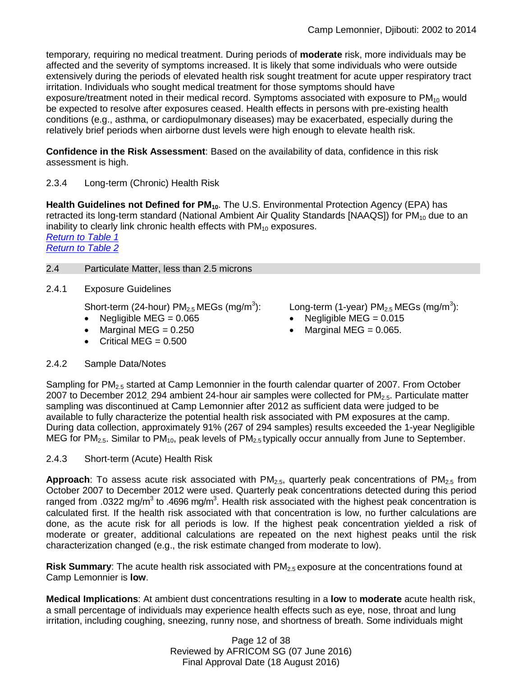temporary*,* requiring no medical treatment. During periods of **moderate** risk, more individuals may be affected and the severity of symptoms increased. It is likely that some individuals who were outside extensively during the periods of elevated health risk sought treatment for acute upper respiratory tract irritation. Individuals who sought medical treatment for those symptoms should have exposure/treatment noted in their medical record. Symptoms associated with exposure to  $PM_{10}$  would be expected to resolve after exposures ceased. Health effects in persons with pre-existing health conditions (e.g., asthma, or cardiopulmonary diseases) may be exacerbated, especially during the relatively brief periods when airborne dust levels were high enough to elevate health risk.

**Confidence in the Risk Assessment**: Based on the availability of data, confidence in this risk assessment is high.

### 2.3.4 Long-term (Chronic) Health Risk

Health Guidelines not Defined for PM<sub>10</sub>. The U.S. Environmental Protection Agency (EPA) has retracted its long-term standard (National Ambient Air Quality Standards [NAAQS]) for  $PM_{10}$  due to an inability to clearly link chronic health effects with  $PM_{10}$  exposures.

*[Return to Table 1](#page-2-0) [Return to Table 2](#page-3-0)*

### <span id="page-11-0"></span>2.4 Particulate Matter, less than 2.5 microns

2.4.1 Exposure Guidelines

Short-term (24-hour)  $PM_{2.5}$  MEGs (mg/m<sup>3</sup>):

- Negligible MEG =  $0.065$
- Marginal MEG  $= 0.250$
- Critical MEG  $= 0.500$

Long-term (1-year)  $PM_{2.5}$  MEGs (mg/m<sup>3</sup>):

- Negligible MEG =  $0.015$
- Marginal MEG =  $0.065$ .

### 2.4.2 Sample Data/Notes

Sampling for PM<sub>2.5</sub> started at Camp Lemonnier in the fourth calendar quarter of 2007. From October 2007 to December 2012, 294 ambient 24-hour air samples were collected for PM<sub>2.5</sub>. Particulate matter sampling was discontinued at Camp Lemonnier after 2012 as sufficient data were judged to be available to fully characterize the potential health risk associated with PM exposures at the camp. During data collection, approximately 91% (267 of 294 samples) results exceeded the 1-year Negligible MEG for PM<sub>2.5</sub>. Similar to PM<sub>10</sub>, peak levels of PM<sub>2.5</sub> typically occur annually from June to September.

2.4.3 Short-term (Acute) Health Risk

**Approach**: To assess acute risk associated with PM<sub>2.5</sub>, quarterly peak concentrations of PM<sub>2.5</sub> from October 2007 to December 2012 were used. Quarterly peak concentrations detected during this period ranged from .0322 mg/m<sup>3</sup> to .4696 mg/m<sup>3</sup>. Health risk associated with the highest peak concentration is calculated first. If the health risk associated with that concentration is low, no further calculations are done, as the acute risk for all periods is low. If the highest peak concentration yielded a risk of moderate or greater, additional calculations are repeated on the next highest peaks until the risk characterization changed (e.g., the risk estimate changed from moderate to low).

**Risk Summary**: The acute health risk associated with PM<sub>2.5</sub> exposure at the concentrations found at Camp Lemonnier is **low**.

**Medical Implications**: At ambient dust concentrations resulting in a **low** to **moderate** acute health risk, a small percentage of individuals may experience health effects such as eye, nose, throat and lung irritation, including coughing, sneezing, runny nose, and shortness of breath. Some individuals might

> Page 12 of 38 Reviewed by AFRICOM SG (07 June 2016) Final Approval Date (18 August 2016)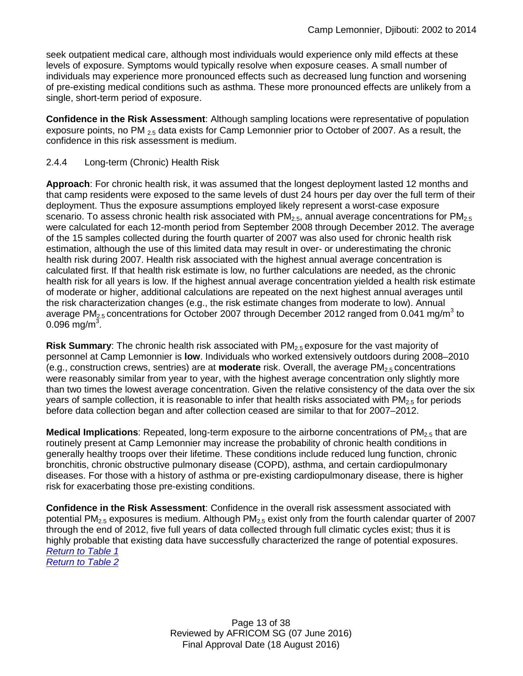seek outpatient medical care, although most individuals would experience only mild effects at these levels of exposure. Symptoms would typically resolve when exposure ceases. A small number of individuals may experience more pronounced effects such as decreased lung function and worsening of pre-existing medical conditions such as asthma. These more pronounced effects are unlikely from a single, short-term period of exposure.

**Confidence in the Risk Assessment**: Although sampling locations were representative of population exposure points, no PM  $_{25}$  data exists for Camp Lemonnier prior to October of 2007. As a result, the confidence in this risk assessment is medium.

### 2.4.4 Long-term (Chronic) Health Risk

**Approach**: For chronic health risk, it was assumed that the longest deployment lasted 12 months and that camp residents were exposed to the same levels of dust 24 hours per day over the full term of their deployment. Thus the exposure assumptions employed likely represent a worst-case exposure scenario. To assess chronic health risk associated with  $PM<sub>2.5</sub>$ , annual average concentrations for  $PM<sub>2.5</sub>$ were calculated for each 12-month period from September 2008 through December 2012. The average of the 15 samples collected during the fourth quarter of 2007 was also used for chronic health risk estimation, although the use of this limited data may result in over- or underestimating the chronic health risk during 2007. Health risk associated with the highest annual average concentration is calculated first. If that health risk estimate is low, no further calculations are needed, as the chronic health risk for all years is low. If the highest annual average concentration yielded a health risk estimate of moderate or higher, additional calculations are repeated on the next highest annual averages until the risk characterization changes (e.g., the risk estimate changes from moderate to low). Annual average PM<sub>2.5</sub> concentrations for October 2007 through December 2012 ranged from 0.041 mg/m<sup>3</sup> to 0.096 mg/m<sup>3</sup>.

**Risk Summary**: The chronic health risk associated with PM2.5 exposure for the vast majority of personnel at Camp Lemonnier is **low**. Individuals who worked extensively outdoors during 2008–2010 (e.g., construction crews, sentries) are at **moderate** risk. Overall, the average PM2.5 concentrations were reasonably similar from year to year, with the highest average concentration only slightly more than two times the lowest average concentration. Given the relative consistency of the data over the six years of sample collection, it is reasonable to infer that health risks associated with  $PM_{2.5}$  for periods before data collection began and after collection ceased are similar to that for 2007–2012.

**Medical Implications**: Repeated, long-term exposure to the airborne concentrations of PM<sub>2.5</sub> that are routinely present at Camp Lemonnier may increase the probability of chronic health conditions in generally healthy troops over their lifetime. These conditions include reduced lung function, chronic bronchitis, chronic obstructive pulmonary disease (COPD), asthma, and certain cardiopulmonary diseases. For those with a history of asthma or pre-existing cardiopulmonary disease, there is higher risk for exacerbating those pre-existing conditions.

**Confidence in the Risk Assessment**: Confidence in the overall risk assessment associated with potential PM<sub>2.5</sub> exposures is medium. Although PM<sub>2.5</sub> exist only from the fourth calendar quarter of 2007 through the end of 2012, five full years of data collected through full climatic cycles exist; thus it is highly probable that existing data have successfully characterized the range of potential exposures. *[Return to Table 1](#page-2-0)*

*[Return to Table 2](#page-3-1)*

Page 13 of 38 Reviewed by AFRICOM SG (07 June 2016) Final Approval Date (18 August 2016)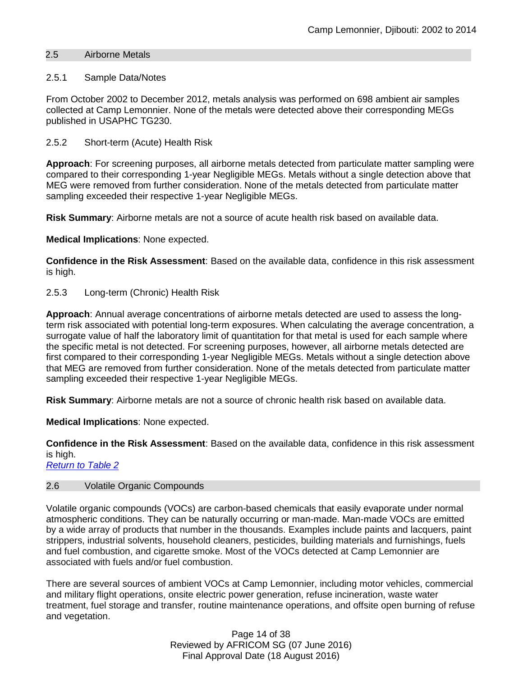### 2.5 Airborne Metals

### <span id="page-13-1"></span>2.5.1 Sample Data/Notes

From October 2002 to December 2012, metals analysis was performed on 698 ambient air samples collected at Camp Lemonnier. None of the metals were detected above their corresponding MEGs published in USAPHC TG230.

### 2.5.2 Short-term (Acute) Health Risk

**Approach**: For screening purposes, all airborne metals detected from particulate matter sampling were compared to their corresponding 1-year Negligible MEGs. Metals without a single detection above that MEG were removed from further consideration. None of the metals detected from particulate matter sampling exceeded their respective 1-year Negligible MEGs.

**Risk Summary**: Airborne metals are not a source of acute health risk based on available data.

**Medical Implications**: None expected.

**Confidence in the Risk Assessment**: Based on the available data, confidence in this risk assessment is high.

### 2.5.3 Long-term (Chronic) Health Risk

**Approach**: Annual average concentrations of airborne metals detected are used to assess the longterm risk associated with potential long-term exposures. When calculating the average concentration, a surrogate value of half the laboratory limit of quantitation for that metal is used for each sample where the specific metal is not detected. For screening purposes, however, all airborne metals detected are first compared to their corresponding 1-year Negligible MEGs. Metals without a single detection above that MEG are removed from further consideration. None of the metals detected from particulate matter sampling exceeded their respective 1-year Negligible MEGs.

**Risk Summary**: Airborne metals are not a source of chronic health risk based on available data.

**Medical Implications**: None expected.

**Confidence in the Risk Assessment**: Based on the available data, confidence in this risk assessment is high.

*[Return to Table 2](#page-4-0)*

### <span id="page-13-0"></span>2.6 Volatile Organic Compounds

Volatile organic compounds (VOCs) are carbon-based chemicals that easily evaporate under normal atmospheric conditions. They can be naturally occurring or man-made. Man-made VOCs are emitted by a wide array of products that number in the thousands. Examples include paints and lacquers, paint strippers, industrial solvents, household cleaners, pesticides, building materials and furnishings, fuels and fuel combustion, and cigarette smoke. Most of the VOCs detected at Camp Lemonnier are associated with fuels and/or fuel combustion.

There are several sources of ambient VOCs at Camp Lemonnier, including motor vehicles, commercial and military flight operations, onsite electric power generation, refuse incineration, waste water treatment, fuel storage and transfer, routine maintenance operations, and offsite open burning of refuse and vegetation.

> Page 14 of 38 Reviewed by AFRICOM SG (07 June 2016) Final Approval Date (18 August 2016)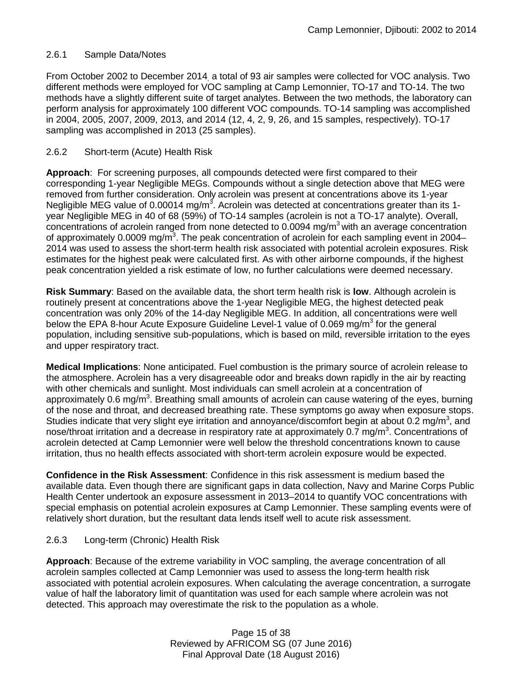### 2.6.1 Sample Data/Notes

From October 2002 to December 2014, a total of 93 air samples were collected for VOC analysis. Two different methods were employed for VOC sampling at Camp Lemonnier, TO-17 and TO-14. The two methods have a slightly different suite of target analytes. Between the two methods, the laboratory can perform analysis for approximately 100 different VOC compounds. TO-14 sampling was accomplished in 2004, 2005, 2007, 2009, 2013, and 2014 (12, 4, 2, 9, 26, and 15 samples, respectively). TO-17 sampling was accomplished in 2013 (25 samples).

### 2.6.2 Short-term (Acute) Health Risk

**Approach**: For screening purposes, all compounds detected were first compared to their corresponding 1-year Negligible MEGs. Compounds without a single detection above that MEG were removed from further consideration. Only acrolein was present at concentrations above its 1-year Negligible MEG value of 0.00014 mg/m<sup>3</sup>. Acrolein was detected at concentrations greater than its 1year Negligible MEG in 40 of 68 (59%) of TO-14 samples (acrolein is not a TO-17 analyte). Overall, concentrations of acrolein ranged from none detected to  $0.0094$  mg/m<sup>3</sup> with an average concentration of approximately 0.0009 mg/m<sup>3</sup>. The peak concentration of acrolein for each sampling event in 2004– 2014 was used to assess the short-term health risk associated with potential acrolein exposures. Risk estimates for the highest peak were calculated first. As with other airborne compounds, if the highest peak concentration yielded a risk estimate of low, no further calculations were deemed necessary.

**Risk Summary**: Based on the available data, the short term health risk is **low**. Although acrolein is routinely present at concentrations above the 1-year Negligible MEG, the highest detected peak concentration was only 20% of the 14-day Negligible MEG. In addition, all concentrations were well below the EPA 8-hour Acute Exposure Guideline Level-1 value of 0.069 mg/m<sup>3</sup> for the general population, including sensitive sub-populations, which is based on mild, reversible irritation to the eyes and upper respiratory tract.

**Medical Implications**: None anticipated. Fuel combustion is the primary source of acrolein release to the atmosphere. Acrolein has a very disagreeable odor and breaks down rapidly in the air by reacting with other chemicals and sunlight. Most individuals can smell acrolein at a concentration of approximately 0.6 mg/m<sup>3</sup>. Breathing small amounts of acrolein can cause watering of the eyes, burning of the nose and throat, and decreased breathing rate. These symptoms go away when exposure stops. Studies indicate that very slight eye irritation and annoyance/discomfort begin at about 0.2 mg/m<sup>3</sup>, and nose/throat irritation and a decrease in respiratory rate at approximately 0.7 mg/m<sup>3</sup>. Concentrations of acrolein detected at Camp Lemonnier were well below the threshold concentrations known to cause irritation, thus no health effects associated with short-term acrolein exposure would be expected.

**Confidence in the Risk Assessment**: Confidence in this risk assessment is medium based the available data. Even though there are significant gaps in data collection, Navy and Marine Corps Public Health Center undertook an exposure assessment in 2013–2014 to quantify VOC concentrations with special emphasis on potential acrolein exposures at Camp Lemonnier. These sampling events were of relatively short duration, but the resultant data lends itself well to acute risk assessment.

### 2.6.3 Long-term (Chronic) Health Risk

**Approach**: Because of the extreme variability in VOC sampling, the average concentration of all acrolein samples collected at Camp Lemonnier was used to assess the long-term health risk associated with potential acrolein exposures. When calculating the average concentration, a surrogate value of half the laboratory limit of quantitation was used for each sample where acrolein was not detected. This approach may overestimate the risk to the population as a whole.

> Page 15 of 38 Reviewed by AFRICOM SG (07 June 2016) Final Approval Date (18 August 2016)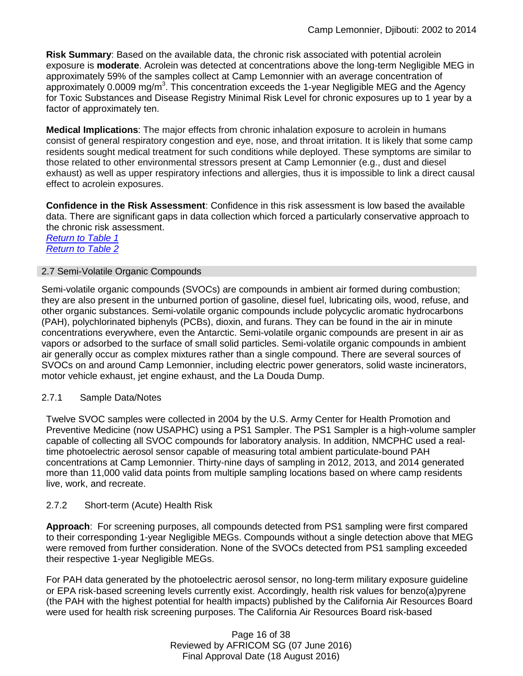**Risk Summary**: Based on the available data, the chronic risk associated with potential acrolein exposure is **moderate**. Acrolein was detected at concentrations above the long-term Negligible MEG in approximately 59% of the samples collect at Camp Lemonnier with an average concentration of approximately 0.0009 mg/m<sup>3</sup>. This concentration exceeds the 1-year Negligible MEG and the Agency for Toxic Substances and Disease Registry Minimal Risk Level for chronic exposures up to 1 year by a factor of approximately ten.

**Medical Implications**: The major effects from chronic inhalation exposure to acrolein in humans consist of general respiratory congestion and eye, nose, and throat irritation. It is likely that some camp residents sought medical treatment for such conditions while deployed. These symptoms are similar to those related to other environmental stressors present at Camp Lemonnier (e.g., dust and diesel exhaust) as well as upper respiratory infections and allergies, thus it is impossible to link a direct causal effect to acrolein exposures.

**Confidence in the Risk Assessment**: Confidence in this risk assessment is low based the available data. There are significant gaps in data collection which forced a particularly conservative approach to the chronic risk assessment.

*[Return to Table 1](#page-2-0) [Return to Table 2](#page-4-0)*

### <span id="page-15-0"></span>2.7 Semi-Volatile Organic Compounds

Semi-volatile organic compounds (SVOCs) are compounds in ambient air formed during combustion; they are also present in the unburned portion of gasoline, diesel fuel, lubricating oils, wood, refuse, and other organic substances. Semi-volatile organic compounds include polycyclic aromatic hydrocarbons (PAH), polychlorinated biphenyls (PCBs), dioxin, and furans. They can be found in the air in minute concentrations everywhere, even the Antarctic. Semi-volatile organic compounds are present in air as vapors or adsorbed to the surface of small solid particles. Semi-volatile organic compounds in ambient air generally occur as complex mixtures rather than a single compound. There are several sources of SVOCs on and around Camp Lemonnier, including electric power generators, solid waste incinerators, motor vehicle exhaust, jet engine exhaust, and the La Douda Dump.

### 2.7.1 Sample Data/Notes

Twelve SVOC samples were collected in 2004 by the U.S. Army Center for Health Promotion and Preventive Medicine (now USAPHC) using a PS1 Sampler. The PS1 Sampler is a high-volume sampler capable of collecting all SVOC compounds for laboratory analysis. In addition, NMCPHC used a realtime photoelectric aerosol sensor capable of measuring total ambient particulate-bound PAH concentrations at Camp Lemonnier. Thirty-nine days of sampling in 2012, 2013, and 2014 generated more than 11,000 valid data points from multiple sampling locations based on where camp residents live, work, and recreate.

### 2.7.2 Short-term (Acute) Health Risk

**Approach**: For screening purposes, all compounds detected from PS1 sampling were first compared to their corresponding 1-year Negligible MEGs. Compounds without a single detection above that MEG were removed from further consideration. None of the SVOCs detected from PS1 sampling exceeded their respective 1-year Negligible MEGs.

For PAH data generated by the photoelectric aerosol sensor, no long-term military exposure guideline or EPA risk-based screening levels currently exist. Accordingly, health risk values for benzo(a)pyrene (the PAH with the highest potential for health impacts) published by the California Air Resources Board were used for health risk screening purposes. The California Air Resources Board risk-based

> Page 16 of 38 Reviewed by AFRICOM SG (07 June 2016) Final Approval Date (18 August 2016)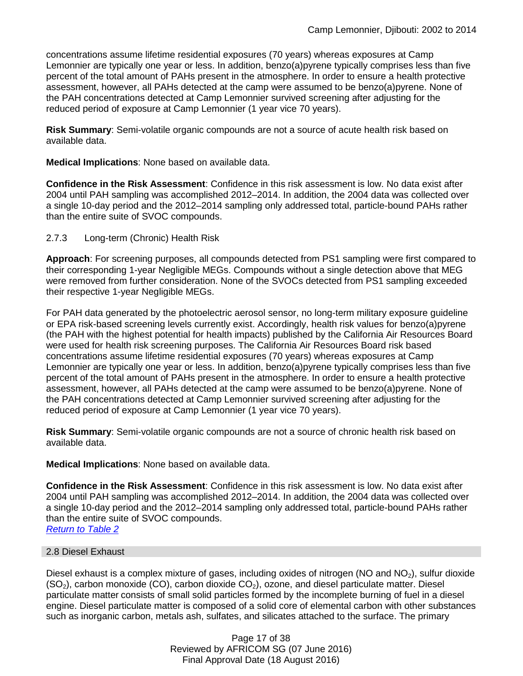concentrations assume lifetime residential exposures (70 years) whereas exposures at Camp Lemonnier are typically one year or less. In addition, benzo(a)pyrene typically comprises less than five percent of the total amount of PAHs present in the atmosphere. In order to ensure a health protective assessment, however, all PAHs detected at the camp were assumed to be benzo(a)pyrene. None of the PAH concentrations detected at Camp Lemonnier survived screening after adjusting for the reduced period of exposure at Camp Lemonnier (1 year vice 70 years).

**Risk Summary**: Semi-volatile organic compounds are not a source of acute health risk based on available data.

**Medical Implications**: None based on available data.

**Confidence in the Risk Assessment**: Confidence in this risk assessment is low. No data exist after 2004 until PAH sampling was accomplished 2012–2014. In addition, the 2004 data was collected over a single 10-day period and the 2012–2014 sampling only addressed total, particle-bound PAHs rather than the entire suite of SVOC compounds.

2.7.3 Long-term (Chronic) Health Risk

**Approach**: For screening purposes, all compounds detected from PS1 sampling were first compared to their corresponding 1-year Negligible MEGs. Compounds without a single detection above that MEG were removed from further consideration. None of the SVOCs detected from PS1 sampling exceeded their respective 1-year Negligible MEGs.

For PAH data generated by the photoelectric aerosol sensor, no long-term military exposure guideline or EPA risk-based screening levels currently exist. Accordingly, health risk values for benzo(a)pyrene (the PAH with the highest potential for health impacts) published by the California Air Resources Board were used for health risk screening purposes. The California Air Resources Board risk based concentrations assume lifetime residential exposures (70 years) whereas exposures at Camp Lemonnier are typically one year or less. In addition, benzo(a)pyrene typically comprises less than five percent of the total amount of PAHs present in the atmosphere. In order to ensure a health protective assessment, however, all PAHs detected at the camp were assumed to be benzo(a)pyrene. None of the PAH concentrations detected at Camp Lemonnier survived screening after adjusting for the reduced period of exposure at Camp Lemonnier (1 year vice 70 years).

**Risk Summary**: Semi-volatile organic compounds are not a source of chronic health risk based on available data.

**Medical Implications**: None based on available data.

**Confidence in the Risk Assessment**: Confidence in this risk assessment is low. No data exist after 2004 until PAH sampling was accomplished 2012–2014. In addition, the 2004 data was collected over a single 10-day period and the 2012–2014 sampling only addressed total, particle-bound PAHs rather than the entire suite of SVOC compounds. *[Return to Table 2](#page-4-1)*

#### 2.8 Diesel Exhaust

<span id="page-16-0"></span>Diesel exhaust is a complex mixture of gases, including oxides of nitrogen (NO and  $NO<sub>2</sub>$ ), sulfur dioxide  $(SO<sub>2</sub>)$ , carbon monoxide (CO), carbon dioxide CO<sub>2</sub>), ozone, and diesel particulate matter. Diesel particulate matter consists of small solid particles formed by the incomplete burning of fuel in a diesel engine. Diesel particulate matter is composed of a solid core of elemental carbon with other substances such as inorganic carbon, metals ash, sulfates, and silicates attached to the surface. The primary

> Page 17 of 38 Reviewed by AFRICOM SG (07 June 2016) Final Approval Date (18 August 2016)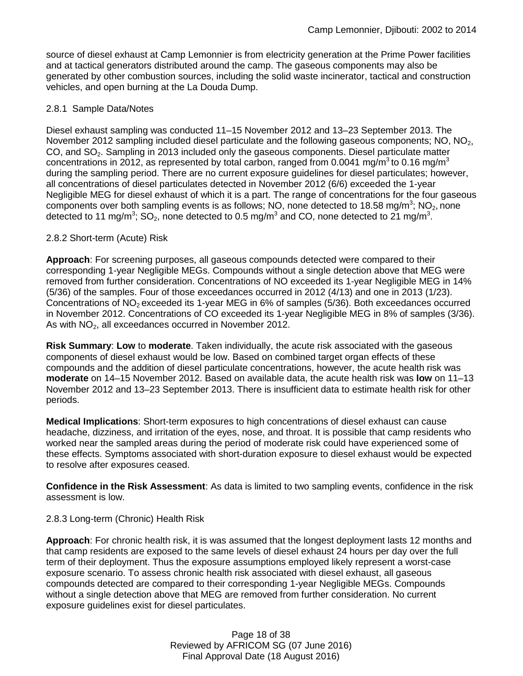source of diesel exhaust at Camp Lemonnier is from electricity generation at the Prime Power facilities and at tactical generators distributed around the camp. The gaseous components may also be generated by other combustion sources, including the solid waste incinerator, tactical and construction vehicles, and open burning at the La Douda Dump.

### 2.8.1 Sample Data/Notes

Diesel exhaust sampling was conducted 11–15 November 2012 and 13–23 September 2013. The November 2012 sampling included diesel particulate and the following gaseous components; NO,  $NO<sub>2</sub>$ , CO, and SO2. Sampling in 2013 included only the gaseous components. Diesel particulate matter concentrations in 2012, as represented by total carbon, ranged from 0.0041 mg/m<sup>3</sup> to 0.16 mg/m<sup>3</sup> during the sampling period. There are no current exposure guidelines for diesel particulates; however, all concentrations of diesel particulates detected in November 2012 (6/6) exceeded the 1-year Negligible MEG for diesel exhaust of which it is a part. The range of concentrations for the four gaseous components over both sampling events is as follows; NO, none detected to 18.58 mg/m<sup>3</sup>; NO<sub>2</sub>, none detected to 11 mg/m<sup>3</sup>; SO<sub>2</sub>, none detected to 0.5 mg/m<sup>3</sup> and CO, none detected to 21 mg/m<sup>3</sup>.

### 2.8.2 Short-term (Acute) Risk

**Approach**: For screening purposes, all gaseous compounds detected were compared to their corresponding 1-year Negligible MEGs. Compounds without a single detection above that MEG were removed from further consideration. Concentrations of NO exceeded its 1-year Negligible MEG in 14% (5/36) of the samples. Four of those exceedances occurred in 2012 (4/13) and one in 2013 (1/23). Concentrations of NO<sub>2</sub> exceeded its 1-year MEG in 6% of samples (5/36). Both exceedances occurred in November 2012. Concentrations of CO exceeded its 1-year Negligible MEG in 8% of samples (3/36). As with  $NO<sub>2</sub>$ , all exceedances occurred in November 2012.

**Risk Summary**: **Low** to **moderate**. Taken individually, the acute risk associated with the gaseous components of diesel exhaust would be low. Based on combined target organ effects of these compounds and the addition of diesel particulate concentrations, however, the acute health risk was **moderate** on 14–15 November 2012. Based on available data, the acute health risk was **low** on 11–13 November 2012 and 13–23 September 2013. There is insufficient data to estimate health risk for other periods.

**Medical Implications**: Short-term exposures to high concentrations of diesel exhaust can cause headache, dizziness, and irritation of the eyes, nose, and throat. It is possible that camp residents who worked near the sampled areas during the period of moderate risk could have experienced some of these effects. Symptoms associated with short-duration exposure to diesel exhaust would be expected to resolve after exposures ceased.

**Confidence in the Risk Assessment**: As data is limited to two sampling events, confidence in the risk assessment is low.

### 2.8.3 Long-term (Chronic) Health Risk

**Approach**: For chronic health risk, it is was assumed that the longest deployment lasts 12 months and that camp residents are exposed to the same levels of diesel exhaust 24 hours per day over the full term of their deployment. Thus the exposure assumptions employed likely represent a worst-case exposure scenario. To assess chronic health risk associated with diesel exhaust, all gaseous compounds detected are compared to their corresponding 1-year Negligible MEGs. Compounds without a single detection above that MEG are removed from further consideration. No current exposure guidelines exist for diesel particulates.

> Page 18 of 38 Reviewed by AFRICOM SG (07 June 2016) Final Approval Date (18 August 2016)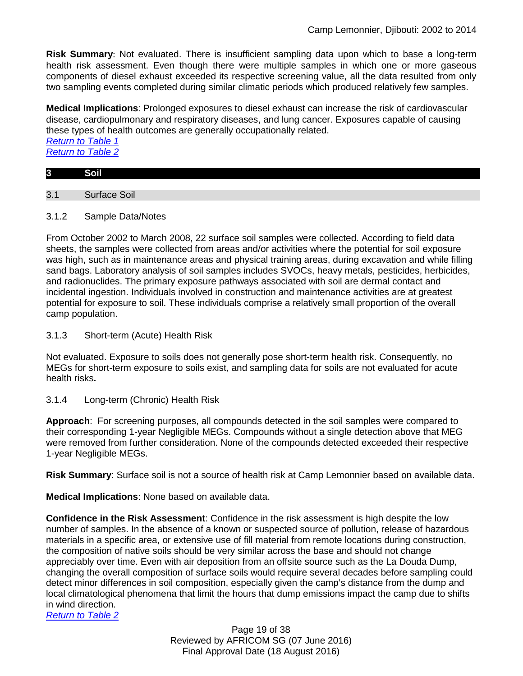**Risk Summary**: Not evaluated. There is insufficient sampling data upon which to base a long-term health risk assessment. Even though there were multiple samples in which one or more gaseous components of diesel exhaust exceeded its respective screening value, all the data resulted from only two sampling events completed during similar climatic periods which produced relatively few samples.

**Medical Implications**: Prolonged exposures to diesel exhaust can increase the risk of cardiovascular disease, cardiopulmonary and respiratory diseases, and lung cancer. Exposures capable of causing these types of health outcomes are generally occupationally related.

*[Return to Table 1](#page-2-0) [Return to Table 2](#page-4-2)*

# <span id="page-18-0"></span>**3 Soil**

3.1 Surface Soil

3.1.2 Sample Data/Notes

From October 2002 to March 2008, 22 surface soil samples were collected. According to field data sheets, the samples were collected from areas and/or activities where the potential for soil exposure was high, such as in maintenance areas and physical training areas, during excavation and while filling sand bags. Laboratory analysis of soil samples includes SVOCs, heavy metals, pesticides, herbicides, and radionuclides. The primary exposure pathways associated with soil are dermal contact and incidental ingestion. Individuals involved in construction and maintenance activities are at greatest potential for exposure to soil. These individuals comprise a relatively small proportion of the overall camp population.

3.1.3 Short-term (Acute) Health Risk

Not evaluated. Exposure to soils does not generally pose short-term health risk. Consequently, no MEGs for short-term exposure to soils exist, and sampling data for soils are not evaluated for acute health risks**.** 

3.1.4 Long-term (Chronic) Health Risk

**Approach**: For screening purposes, all compounds detected in the soil samples were compared to their corresponding 1-year Negligible MEGs. Compounds without a single detection above that MEG were removed from further consideration. None of the compounds detected exceeded their respective 1-year Negligible MEGs.

**Risk Summary**: Surface soil is not a source of health risk at Camp Lemonnier based on available data.

**Medical Implications**: None based on available data.

**Confidence in the Risk Assessment**: Confidence in the risk assessment is high despite the low number of samples. In the absence of a known or suspected source of pollution, release of hazardous materials in a specific area, or extensive use of fill material from remote locations during construction, the composition of native soils should be very similar across the base and should not change appreciably over time. Even with air deposition from an offsite source such as the La Douda Dump, changing the overall composition of surface soils would require several decades before sampling could detect minor differences in soil composition, especially given the camp's distance from the dump and local climatological phenomena that limit the hours that dump emissions impact the camp due to shifts in wind direction.

*[Return to Table 2](#page-4-0)*

Page 19 of 38 Reviewed by AFRICOM SG (07 June 2016) Final Approval Date (18 August 2016)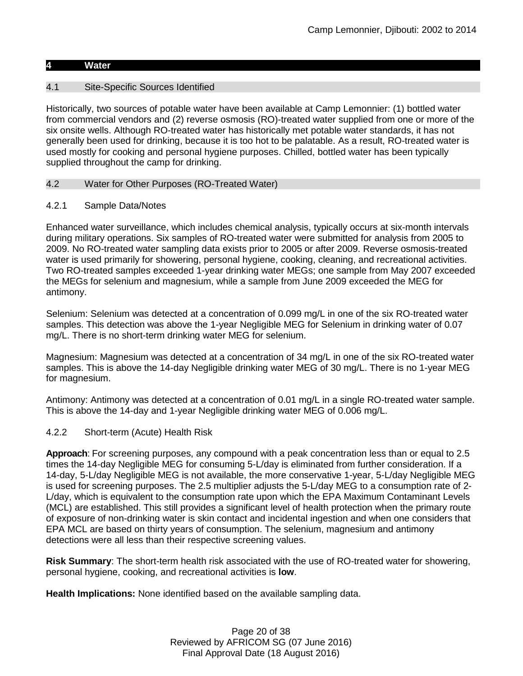#### **4 Water**

### 4.1 Site-Specific Sources Identified

Historically, two sources of potable water have been available at Camp Lemonnier: (1) bottled water from commercial vendors and (2) reverse osmosis (RO)-treated water supplied from one or more of the six onsite wells. Although RO-treated water has historically met potable water standards, it has not generally been used for drinking, because it is too hot to be palatable. As a result, RO-treated water is used mostly for cooking and personal hygiene purposes. Chilled, bottled water has been typically supplied throughout the camp for drinking.

### <span id="page-19-0"></span>4.2 Water for Other Purposes (RO-Treated Water)

### 4.2.1 Sample Data/Notes

Enhanced water surveillance, which includes chemical analysis, typically occurs at six-month intervals during military operations. Six samples of RO-treated water were submitted for analysis from 2005 to 2009. No RO-treated water sampling data exists prior to 2005 or after 2009. Reverse osmosis-treated water is used primarily for showering, personal hygiene, cooking, cleaning, and recreational activities. Two RO-treated samples exceeded 1-year drinking water MEGs; one sample from May 2007 exceeded the MEGs for selenium and magnesium, while a sample from June 2009 exceeded the MEG for antimony.

Selenium: Selenium was detected at a concentration of 0.099 mg/L in one of the six RO-treated water samples. This detection was above the 1-year Negligible MEG for Selenium in drinking water of 0.07 mg/L. There is no short-term drinking water MEG for selenium.

Magnesium: Magnesium was detected at a concentration of 34 mg/L in one of the six RO-treated water samples. This is above the 14-day Negligible drinking water MEG of 30 mg/L. There is no 1-year MEG for magnesium.

Antimony: Antimony was detected at a concentration of 0.01 mg/L in a single RO-treated water sample. This is above the 14-day and 1-year Negligible drinking water MEG of 0.006 mg/L.

### 4.2.2 Short-term (Acute) Health Risk

**Approach**: For screening purposes, any compound with a peak concentration less than or equal to 2.5 times the 14-day Negligible MEG for consuming 5-L/day is eliminated from further consideration. If a 14-day, 5-L/day Negligible MEG is not available, the more conservative 1-year, 5-L/day Negligible MEG is used for screening purposes. The 2.5 multiplier adjusts the 5-L/day MEG to a consumption rate of 2- L/day, which is equivalent to the consumption rate upon which the EPA Maximum Contaminant Levels (MCL) are established. This still provides a significant level of health protection when the primary route of exposure of non-drinking water is skin contact and incidental ingestion and when one considers that EPA MCL are based on thirty years of consumption. The selenium, magnesium and antimony detections were all less than their respective screening values.

**Risk Summary**: The short-term health risk associated with the use of RO-treated water for showering, personal hygiene, cooking, and recreational activities is **low**.

**Health Implications:** None identified based on the available sampling data.

Page 20 of 38 Reviewed by AFRICOM SG (07 June 2016) Final Approval Date (18 August 2016)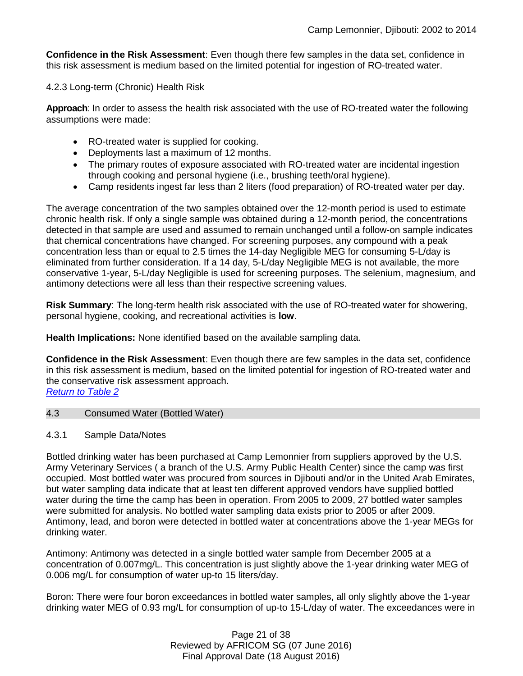**Confidence in the Risk Assessment**: Even though there few samples in the data set, confidence in this risk assessment is medium based on the limited potential for ingestion of RO-treated water.

### 4.2.3 Long-term (Chronic) Health Risk

**Approach**: In order to assess the health risk associated with the use of RO-treated water the following assumptions were made:

- RO-treated water is supplied for cooking.
- Deployments last a maximum of 12 months.
- The primary routes of exposure associated with RO-treated water are incidental ingestion through cooking and personal hygiene (i.e., brushing teeth/oral hygiene).
- Camp residents ingest far less than 2 liters (food preparation) of RO-treated water per day.

The average concentration of the two samples obtained over the 12-month period is used to estimate chronic health risk. If only a single sample was obtained during a 12-month period, the concentrations detected in that sample are used and assumed to remain unchanged until a follow-on sample indicates that chemical concentrations have changed. For screening purposes, any compound with a peak concentration less than or equal to 2.5 times the 14-day Negligible MEG for consuming 5-L/day is eliminated from further consideration. If a 14 day, 5-L/day Negligible MEG is not available, the more conservative 1-year, 5-L/day Negligible is used for screening purposes. The selenium, magnesium, and antimony detections were all less than their respective screening values.

**Risk Summary**: The long-term health risk associated with the use of RO-treated water for showering, personal hygiene, cooking, and recreational activities is **low**.

**Health Implications:** None identified based on the available sampling data.

**Confidence in the Risk Assessment**: Even though there are few samples in the data set, confidence in this risk assessment is medium, based on the limited potential for ingestion of RO-treated water and the conservative risk assessment approach. *[Return to Table 2](#page-4-3)*

- <span id="page-20-0"></span>4.3 Consumed Water (Bottled Water)
- 4.3.1 Sample Data/Notes

Bottled drinking water has been purchased at Camp Lemonnier from suppliers approved by the U.S. Army Veterinary Services ( a branch of the U.S. Army Public Health Center) since the camp was first occupied. Most bottled water was procured from sources in Djibouti and/or in the United Arab Emirates, but water sampling data indicate that at least ten different approved vendors have supplied bottled water during the time the camp has been in operation. From 2005 to 2009, 27 bottled water samples were submitted for analysis. No bottled water sampling data exists prior to 2005 or after 2009. Antimony, lead, and boron were detected in bottled water at concentrations above the 1-year MEGs for drinking water.

Antimony: Antimony was detected in a single bottled water sample from December 2005 at a concentration of 0.007mg/L. This concentration is just slightly above the 1-year drinking water MEG of 0.006 mg/L for consumption of water up-to 15 liters/day.

Boron: There were four boron exceedances in bottled water samples, all only slightly above the 1-year drinking water MEG of 0.93 mg/L for consumption of up-to 15-L/day of water. The exceedances were in

> Page 21 of 38 Reviewed by AFRICOM SG (07 June 2016) Final Approval Date (18 August 2016)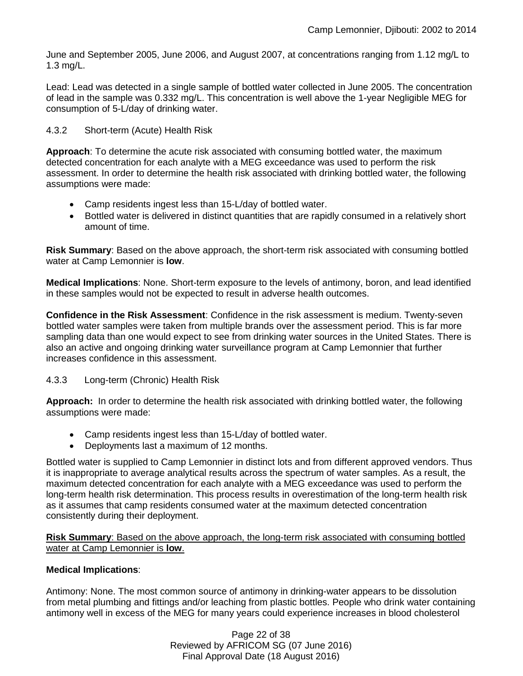June and September 2005, June 2006, and August 2007, at concentrations ranging from 1.12 mg/L to 1.3 mg/L.

Lead: Lead was detected in a single sample of bottled water collected in June 2005. The concentration of lead in the sample was 0.332 mg/L. This concentration is well above the 1-year Negligible MEG for consumption of 5-L/day of drinking water.

4.3.2 Short-term (Acute) Health Risk

**Approach**: To determine the acute risk associated with consuming bottled water, the maximum detected concentration for each analyte with a MEG exceedance was used to perform the risk assessment. In order to determine the health risk associated with drinking bottled water, the following assumptions were made:

- Camp residents ingest less than 15-L/day of bottled water.
- Bottled water is delivered in distinct quantities that are rapidly consumed in a relatively short amount of time.

**Risk Summary**: Based on the above approach, the short-term risk associated with consuming bottled water at Camp Lemonnier is **low**.

**Medical Implications**: None. Short-term exposure to the levels of antimony, boron, and lead identified in these samples would not be expected to result in adverse health outcomes.

**Confidence in the Risk Assessment**: Confidence in the risk assessment is medium. Twenty-seven bottled water samples were taken from multiple brands over the assessment period. This is far more sampling data than one would expect to see from drinking water sources in the United States. There is also an active and ongoing drinking water surveillance program at Camp Lemonnier that further increases confidence in this assessment.

### 4.3.3 Long-term (Chronic) Health Risk

**Approach:** In order to determine the health risk associated with drinking bottled water, the following assumptions were made:

- Camp residents ingest less than 15-L/day of bottled water.
- Deployments last a maximum of 12 months.

Bottled water is supplied to Camp Lemonnier in distinct lots and from different approved vendors. Thus it is inappropriate to average analytical results across the spectrum of water samples. As a result, the maximum detected concentration for each analyte with a MEG exceedance was used to perform the long-term health risk determination. This process results in overestimation of the long-term health risk as it assumes that camp residents consumed water at the maximum detected concentration consistently during their deployment.

**Risk Summary**: Based on the above approach, the long-term risk associated with consuming bottled water at Camp Lemonnier is **low**.

### **Medical Implications**:

Antimony: None. The most common source of antimony in drinking-water appears to be dissolution from metal plumbing and fittings and/or leaching from plastic bottles. People who drink water containing antimony well in excess of the MEG for many years could experience increases in blood cholesterol

> Page 22 of 38 Reviewed by AFRICOM SG (07 June 2016) Final Approval Date (18 August 2016)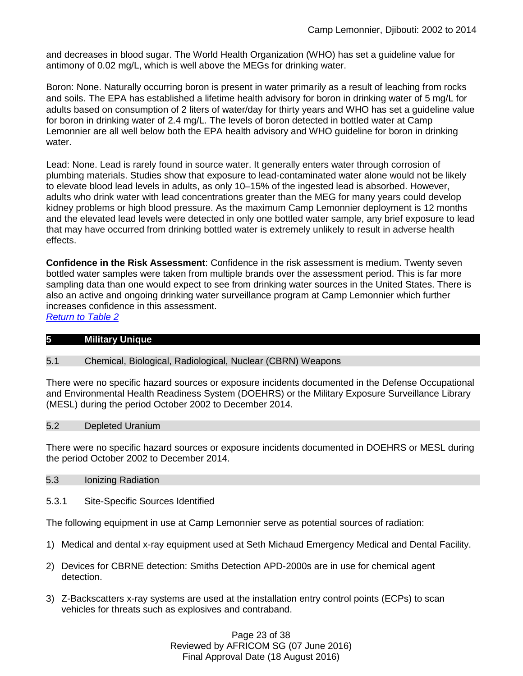and decreases in blood sugar. The World Health Organization (WHO) has set a guideline value for antimony of 0.02 mg/L, which is well above the MEGs for drinking water.

Boron: None. Naturally occurring boron is present in water primarily as a result of leaching from rocks and soils. The EPA has established a lifetime health advisory for boron in drinking water of 5 mg/L for adults based on consumption of 2 liters of water/day for thirty years and WHO has set a guideline value for boron in drinking water of 2.4 mg/L. The levels of boron detected in bottled water at Camp Lemonnier are all well below both the EPA health advisory and WHO guideline for boron in drinking water.

Lead: None. Lead is rarely found in source water. It generally enters water through corrosion of plumbing materials. Studies show that exposure to lead-contaminated water alone would not be likely to elevate blood lead levels in adults, as only 10–15% of the ingested lead is absorbed. However, adults who drink water with lead concentrations greater than the MEG for many years could develop kidney problems or high blood pressure. As the maximum Camp Lemonnier deployment is 12 months and the elevated lead levels were detected in only one bottled water sample, any brief exposure to lead that may have occurred from drinking bottled water is extremely unlikely to result in adverse health effects.

**Confidence in the Risk Assessment**: Confidence in the risk assessment is medium. Twenty seven bottled water samples were taken from multiple brands over the assessment period. This is far more sampling data than one would expect to see from drinking water sources in the United States. There is also an active and ongoing drinking water surveillance program at Camp Lemonnier which further increases confidence in this assessment.

*[Return to Table 2](#page-5-0)*

| <b>Military Unique</b> |  |  |
|------------------------|--|--|

#### 5.1 Chemical, Biological, Radiological, Nuclear (CBRN) Weapons

There were no specific hazard sources or exposure incidents documented in the Defense Occupational and Environmental Health Readiness System (DOEHRS) or the Military Exposure Surveillance Library (MESL) during the period October 2002 to December 2014.

#### 5.2 Depleted Uranium

There were no specific hazard sources or exposure incidents documented in DOEHRS or MESL during the period October 2002 to December 2014.

#### <span id="page-22-0"></span>5.3 Ionizing Radiation

5.3.1 Site-Specific Sources Identified

The following equipment in use at Camp Lemonnier serve as potential sources of radiation:

- 1) Medical and dental x-ray equipment used at Seth Michaud Emergency Medical and Dental Facility.
- 2) Devices for CBRNE detection: Smiths Detection APD-2000s are in use for chemical agent detection.
- 3) Z-Backscatters x-ray systems are used at the installation entry control points (ECPs) to scan vehicles for threats such as explosives and contraband.

Page 23 of 38 Reviewed by AFRICOM SG (07 June 2016) Final Approval Date (18 August 2016)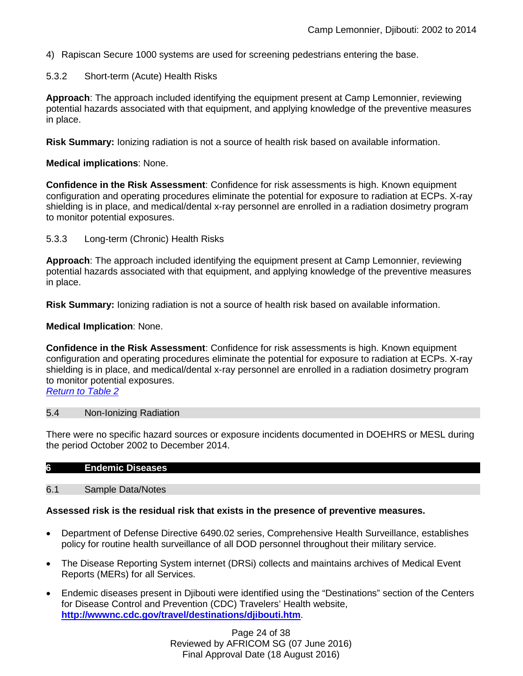4) Rapiscan Secure 1000 systems are used for screening pedestrians entering the base.

### 5.3.2 Short-term (Acute) Health Risks

**Approach**: The approach included identifying the equipment present at Camp Lemonnier, reviewing potential hazards associated with that equipment, and applying knowledge of the preventive measures in place.

**Risk Summary:** Ionizing radiation is not a source of health risk based on available information.

### **Medical implications**: None.

**Confidence in the Risk Assessment**: Confidence for risk assessments is high. Known equipment configuration and operating procedures eliminate the potential for exposure to radiation at ECPs. X-ray shielding is in place, and medical/dental x-ray personnel are enrolled in a radiation dosimetry program to monitor potential exposures.

5.3.3 Long-term (Chronic) Health Risks

**Approach**: The approach included identifying the equipment present at Camp Lemonnier, reviewing potential hazards associated with that equipment, and applying knowledge of the preventive measures in place.

**Risk Summary:** Ionizing radiation is not a source of health risk based on available information.

**Medical Implication**: None.

**Confidence in the Risk Assessment**: Confidence for risk assessments is high. Known equipment configuration and operating procedures eliminate the potential for exposure to radiation at ECPs. X-ray shielding is in place, and medical/dental x-ray personnel are enrolled in a radiation dosimetry program to monitor potential exposures. *[Return to Table 2](#page-5-1)*

### 5.4 Non-Ionizing Radiation

There were no specific hazard sources or exposure incidents documented in DOEHRS or MESL during the period October 2002 to December 2014.

#### 6.1 Sample Data/Notes

#### **Assessed risk is the residual risk that exists in the presence of preventive measures.**

- Department of Defense Directive 6490.02 series, Comprehensive Health Surveillance, establishes policy for routine health surveillance of all DOD personnel throughout their military service.
- The Disease Reporting System internet (DRSi) collects and maintains archives of Medical Event Reports (MERs) for all Services.
- Endemic diseases present in Djibouti were identified using the "Destinations" section of the Centers for Disease Control and Prevention (CDC) Travelers' Health website, **<http://wwwnc.cdc.gov/travel/destinations/djibouti.htm>**.

Page 24 of 38 Reviewed by AFRICOM SG (07 June 2016) Final Approval Date (18 August 2016)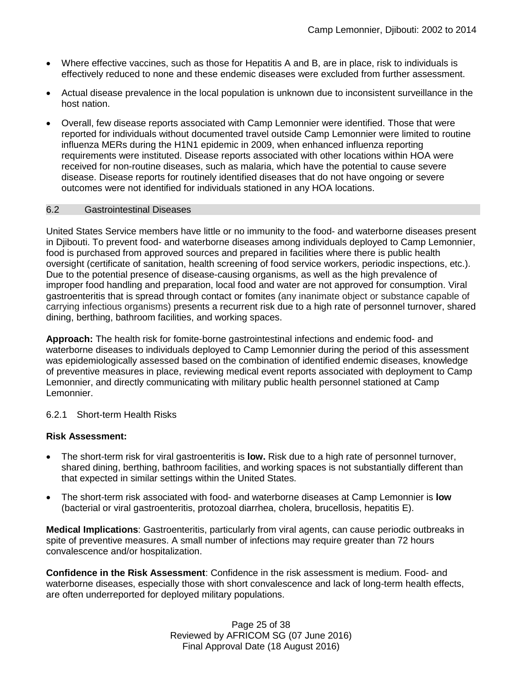- Where effective vaccines, such as those for Hepatitis A and B, are in place, risk to individuals is effectively reduced to none and these endemic diseases were excluded from further assessment.
- Actual disease prevalence in the local population is unknown due to inconsistent surveillance in the host nation.
- Overall, few disease reports associated with Camp Lemonnier were identified. Those that were reported for individuals without documented travel outside Camp Lemonnier were limited to routine influenza MERs during the H1N1 epidemic in 2009, when enhanced influenza reporting requirements were instituted. Disease reports associated with other locations within HOA were received for non-routine diseases, such as malaria, which have the potential to cause severe disease. Disease reports for routinely identified diseases that do not have ongoing or severe outcomes were not identified for individuals stationed in any HOA locations.

### <span id="page-24-0"></span>6.2 Gastrointestinal Diseases

United States Service members have little or no immunity to the food- and waterborne diseases present in Djibouti. To prevent food- and waterborne diseases among individuals deployed to Camp Lemonnier, food is purchased from approved sources and prepared in facilities where there is public health oversight (certificate of sanitation, health screening of food service workers, periodic inspections, etc.). Due to the potential presence of disease-causing organisms, as well as the high prevalence of improper food handling and preparation, local food and water are not approved for consumption. Viral gastroenteritis that is spread through contact or fomites (any inanimate object or substance capable of carrying infectious organisms) presents a recurrent risk due to a high rate of personnel turnover, shared dining, berthing, bathroom facilities, and working spaces.

**Approach:** The health risk for fomite-borne gastrointestinal infections and endemic food- and waterborne diseases to individuals deployed to Camp Lemonnier during the period of this assessment was epidemiologically assessed based on the combination of identified endemic diseases, knowledge of preventive measures in place, reviewing medical event reports associated with deployment to Camp Lemonnier, and directly communicating with military public health personnel stationed at Camp Lemonnier.

### 6.2.1 Short-term Health Risks

### **Risk Assessment:**

- The short-term risk for viral gastroenteritis is **low.** Risk due to a high rate of personnel turnover, shared dining, berthing, bathroom facilities, and working spaces is not substantially different than that expected in similar settings within the United States.
- The short-term risk associated with food- and waterborne diseases at Camp Lemonnier is **low** (bacterial or viral gastroenteritis, protozoal diarrhea, cholera, brucellosis, hepatitis E).

**Medical Implications**: Gastroenteritis, particularly from viral agents, can cause periodic outbreaks in spite of preventive measures. A small number of infections may require greater than 72 hours convalescence and/or hospitalization.

**Confidence in the Risk Assessment**: Confidence in the risk assessment is medium. Food- and waterborne diseases, especially those with short convalescence and lack of long-term health effects, are often underreported for deployed military populations.

> Page 25 of 38 Reviewed by AFRICOM SG (07 June 2016) Final Approval Date (18 August 2016)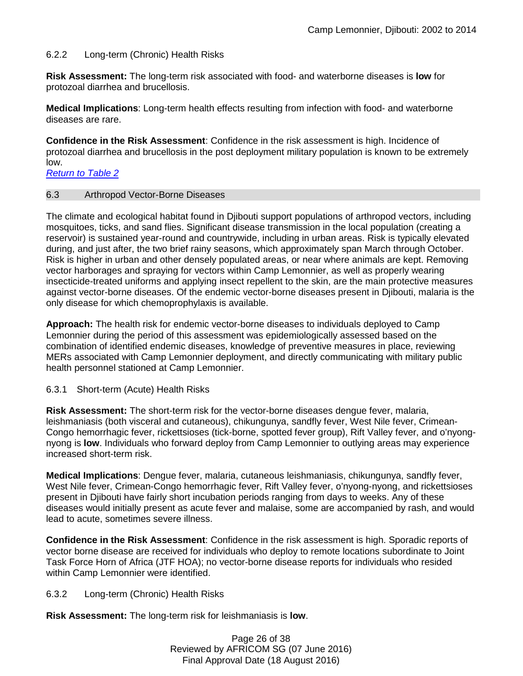### 6.2.2 Long-term (Chronic) Health Risks

**Risk Assessment:** The long-term risk associated with food- and waterborne diseases is **low** for protozoal diarrhea and brucellosis.

**Medical Implications**: Long-term health effects resulting from infection with food- and waterborne diseases are rare.

**Confidence in the Risk Assessment**: Confidence in the risk assessment is high. Incidence of protozoal diarrhea and brucellosis in the post deployment military population is known to be extremely low.

*[Return to Table 2](#page-5-2)*

#### <span id="page-25-0"></span>6.3 Arthropod Vector-Borne Diseases

The climate and ecological habitat found in Diibouti support populations of arthropod vectors, including mosquitoes, ticks, and sand flies. Significant disease transmission in the local population (creating a reservoir) is sustained year-round and countrywide, including in urban areas. Risk is typically elevated during, and just after, the two brief rainy seasons, which approximately span March through October. Risk is higher in urban and other densely populated areas, or near where animals are kept. Removing vector harborages and spraying for vectors within Camp Lemonnier, as well as properly wearing insecticide-treated uniforms and applying insect repellent to the skin, are the main protective measures against vector-borne diseases. Of the endemic vector-borne diseases present in Djibouti, malaria is the only disease for which chemoprophylaxis is available.

**Approach:** The health risk for endemic vector-borne diseases to individuals deployed to Camp Lemonnier during the period of this assessment was epidemiologically assessed based on the combination of identified endemic diseases, knowledge of preventive measures in place, reviewing MERs associated with Camp Lemonnier deployment, and directly communicating with military public health personnel stationed at Camp Lemonnier.

#### 6.3.1 Short-term (Acute) Health Risks

**Risk Assessment:** The short-term risk for the vector-borne diseases dengue fever, malaria, leishmaniasis (both visceral and cutaneous), chikungunya, sandfly fever, West Nile fever, Crimean-Congo hemorrhagic fever, rickettsioses (tick-borne, spotted fever group), Rift Valley fever, and o'nyongnyong is **low**. Individuals who forward deploy from Camp Lemonnier to outlying areas may experience increased short-term risk.

**Medical Implications**: Dengue fever, malaria, cutaneous leishmaniasis, chikungunya, sandfly fever, West Nile fever, Crimean-Congo hemorrhagic fever, Rift Valley fever, o'nyong-nyong, and rickettsioses present in Djibouti have fairly short incubation periods ranging from days to weeks. Any of these diseases would initially present as acute fever and malaise, some are accompanied by rash, and would lead to acute, sometimes severe illness.

**Confidence in the Risk Assessment**: Confidence in the risk assessment is high. Sporadic reports of vector borne disease are received for individuals who deploy to remote locations subordinate to Joint Task Force Horn of Africa (JTF HOA); no vector-borne disease reports for individuals who resided within Camp Lemonnier were identified.

### 6.3.2 Long-term (Chronic) Health Risks

**Risk Assessment:** The long-term risk for leishmaniasis is **low**.

Page 26 of 38 Reviewed by AFRICOM SG (07 June 2016) Final Approval Date (18 August 2016)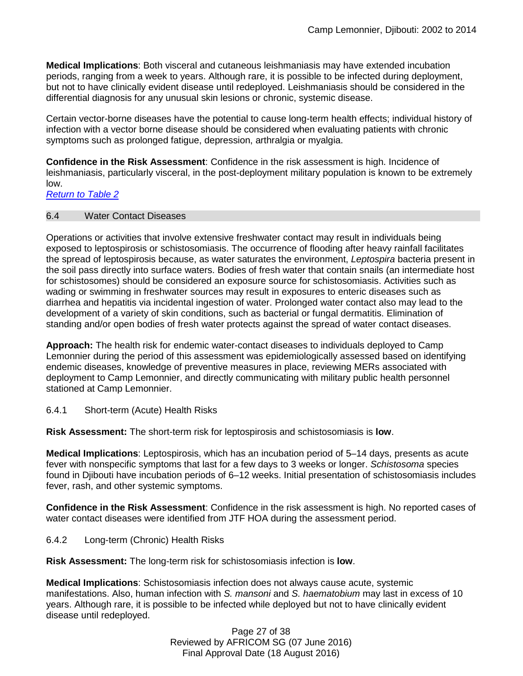**Medical Implications**: Both visceral and cutaneous leishmaniasis may have extended incubation periods, ranging from a week to years. Although rare, it is possible to be infected during deployment, but not to have clinically evident disease until redeployed. Leishmaniasis should be considered in the differential diagnosis for any unusual skin lesions or chronic, systemic disease.

Certain vector-borne diseases have the potential to cause long-term health effects; individual history of infection with a vector borne disease should be considered when evaluating patients with chronic symptoms such as prolonged fatigue, depression, arthralgia or myalgia.

**Confidence in the Risk Assessment**: Confidence in the risk assessment is high. Incidence of leishmaniasis, particularly visceral, in the post-deployment military population is known to be extremely low.

*[Return to Table 2](#page-6-0)*

<span id="page-26-0"></span>6.4 Water Contact Diseases

Operations or activities that involve extensive freshwater contact may result in individuals being exposed to leptospirosis or schistosomiasis. The occurrence of flooding after heavy rainfall facilitates the spread of leptospirosis because, as water saturates the environment, *Leptospira* bacteria present in the soil pass directly into surface waters. Bodies of fresh water that contain snails (an intermediate host for schistosomes) should be considered an exposure source for schistosomiasis. Activities such as wading or swimming in freshwater sources may result in exposures to enteric diseases such as diarrhea and hepatitis via incidental ingestion of water. Prolonged water contact also may lead to the development of a variety of skin conditions, such as bacterial or fungal dermatitis. Elimination of standing and/or open bodies of fresh water protects against the spread of water contact diseases.

**Approach:** The health risk for endemic water-contact diseases to individuals deployed to Camp Lemonnier during the period of this assessment was epidemiologically assessed based on identifying endemic diseases, knowledge of preventive measures in place, reviewing MERs associated with deployment to Camp Lemonnier, and directly communicating with military public health personnel stationed at Camp Lemonnier.

6.4.1 Short-term (Acute) Health Risks

**Risk Assessment:** The short-term risk for leptospirosis and schistosomiasis is **low**.

**Medical Implications**: Leptospirosis, which has an incubation period of 5–14 days, presents as acute fever with nonspecific symptoms that last for a few days to 3 weeks or longer. *Schistosoma* species found in Djibouti have incubation periods of 6–12 weeks. Initial presentation of schistosomiasis includes fever, rash, and other systemic symptoms.

**Confidence in the Risk Assessment**: Confidence in the risk assessment is high. No reported cases of water contact diseases were identified from JTF HOA during the assessment period.

6.4.2 Long-term (Chronic) Health Risks

**Risk Assessment:** The long-term risk for schistosomiasis infection is **low**.

**Medical Implications**: Schistosomiasis infection does not always cause acute, systemic manifestations. Also, human infection with *S. mansoni* and *S. haematobium* may last in excess of 10 years. Although rare, it is possible to be infected while deployed but not to have clinically evident disease until redeployed.

> Page 27 of 38 Reviewed by AFRICOM SG (07 June 2016) Final Approval Date (18 August 2016)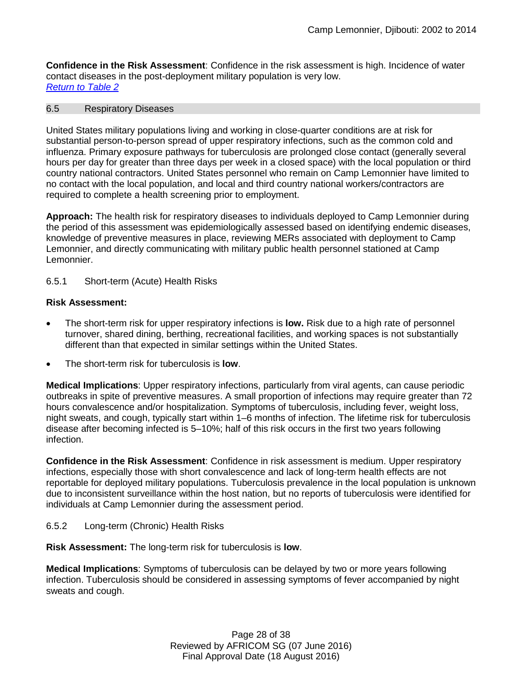**Confidence in the Risk Assessment**: Confidence in the risk assessment is high. Incidence of water contact diseases in the post-deployment military population is very low. *Return to Table 2*

#### <span id="page-27-0"></span>6.5 Respiratory Diseases

United States military populations living and working in close-quarter conditions are at risk for substantial person-to-person spread of upper respiratory infections, such as the common cold and influenza. Primary exposure pathways for tuberculosis are prolonged close contact (generally several hours per day for greater than three days per week in a closed space) with the local population or third country national contractors. United States personnel who remain on Camp Lemonnier have limited to no contact with the local population, and local and third country national workers/contractors are required to complete a health screening prior to employment.

**Approach:** The health risk for respiratory diseases to individuals deployed to Camp Lemonnier during the period of this assessment was epidemiologically assessed based on identifying endemic diseases, knowledge of preventive measures in place, reviewing MERs associated with deployment to Camp Lemonnier, and directly communicating with military public health personnel stationed at Camp Lemonnier.

### 6.5.1 Short-term (Acute) Health Risks

### **Risk Assessment:**

- The short-term risk for upper respiratory infections is **low.** Risk due to a high rate of personnel turnover, shared dining, berthing, recreational facilities, and working spaces is not substantially different than that expected in similar settings within the United States.
- The short-term risk for tuberculosis is **low**.

**Medical Implications**: Upper respiratory infections, particularly from viral agents, can cause periodic outbreaks in spite of preventive measures. A small proportion of infections may require greater than 72 hours convalescence and/or hospitalization. Symptoms of tuberculosis, including fever, weight loss, night sweats, and cough, typically start within 1–6 months of infection. The lifetime risk for tuberculosis disease after becoming infected is 5–10%; half of this risk occurs in the first two years following infection.

**Confidence in the Risk Assessment**: Confidence in risk assessment is medium. Upper respiratory infections, especially those with short convalescence and lack of long-term health effects are not reportable for deployed military populations. Tuberculosis prevalence in the local population is unknown due to inconsistent surveillance within the host nation, but no reports of tuberculosis were identified for individuals at Camp Lemonnier during the assessment period.

6.5.2 Long-term (Chronic) Health Risks

**Risk Assessment:** The long-term risk for tuberculosis is **low**.

**Medical Implications**: Symptoms of tuberculosis can be delayed by two or more years following infection. Tuberculosis should be considered in assessing symptoms of fever accompanied by night sweats and cough.

> Page 28 of 38 Reviewed by AFRICOM SG (07 June 2016) Final Approval Date (18 August 2016)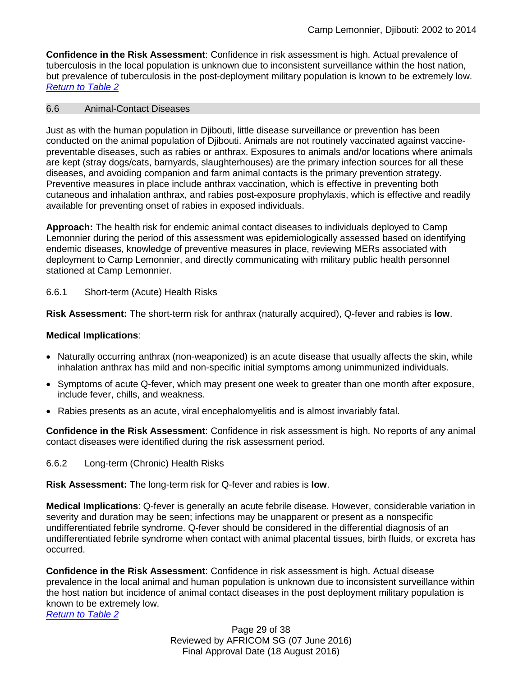**Confidence in the Risk Assessment**: Confidence in risk assessment is high. Actual prevalence of tuberculosis in the local population is unknown due to inconsistent surveillance within the host nation, but prevalence of tuberculosis in the post-deployment military population is known to be extremely low. *[Return to Table 2](#page-6-1)*

### <span id="page-28-0"></span>6.6 Animal-Contact Diseases

Just as with the human population in Djibouti, little disease surveillance or prevention has been conducted on the animal population of Djibouti. Animals are not routinely vaccinated against vaccinepreventable diseases, such as rabies or anthrax. Exposures to animals and/or locations where animals are kept (stray dogs/cats, barnyards, slaughterhouses) are the primary infection sources for all these diseases, and avoiding companion and farm animal contacts is the primary prevention strategy. Preventive measures in place include anthrax vaccination, which is effective in preventing both cutaneous and inhalation anthrax, and rabies post-exposure prophylaxis, which is effective and readily available for preventing onset of rabies in exposed individuals.

**Approach:** The health risk for endemic animal contact diseases to individuals deployed to Camp Lemonnier during the period of this assessment was epidemiologically assessed based on identifying endemic diseases, knowledge of preventive measures in place, reviewing MERs associated with deployment to Camp Lemonnier, and directly communicating with military public health personnel stationed at Camp Lemonnier.

6.6.1 Short-term (Acute) Health Risks

**Risk Assessment:** The short-term risk for anthrax (naturally acquired), Q-fever and rabies is **low**.

### **Medical Implications**:

- Naturally occurring anthrax (non-weaponized) is an acute disease that usually affects the skin, while inhalation anthrax has mild and non-specific initial symptoms among unimmunized individuals.
- Symptoms of acute Q-fever, which may present one week to greater than one month after exposure, include fever, chills, and weakness.
- Rabies presents as an acute, viral encephalomyelitis and is almost invariably fatal.

**Confidence in the Risk Assessment**: Confidence in risk assessment is high. No reports of any animal contact diseases were identified during the risk assessment period.

6.6.2 Long-term (Chronic) Health Risks

**Risk Assessment:** The long-term risk for Q-fever and rabies is **low**.

**Medical Implications**: Q-fever is generally an acute febrile disease. However, considerable variation in severity and duration may be seen; infections may be unapparent or present as a nonspecific undifferentiated febrile syndrome. Q-fever should be considered in the differential diagnosis of an undifferentiated febrile syndrome when contact with animal placental tissues, birth fluids, or excreta has occurred.

**Confidence in the Risk Assessment**: Confidence in risk assessment is high. Actual disease prevalence in the local animal and human population is unknown due to inconsistent surveillance within the host nation but incidence of animal contact diseases in the post deployment military population is known to be extremely low.

*Return to Table 2*

Page 29 of 38 Reviewed by AFRICOM SG (07 June 2016) Final Approval Date (18 August 2016)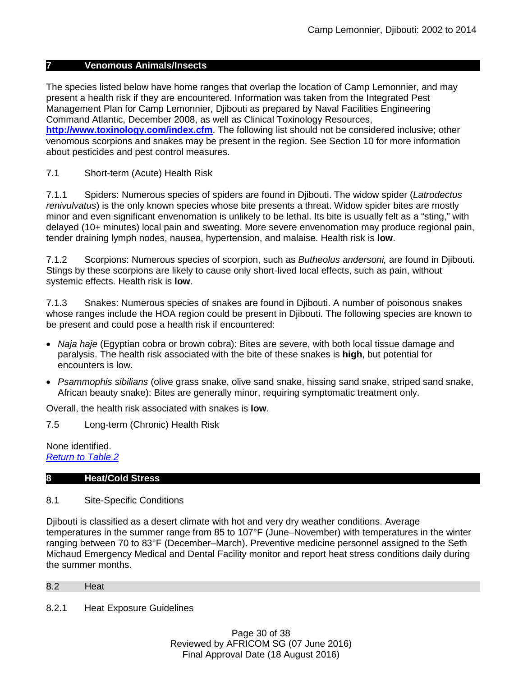### **7 Venomous Animals/Insects**

<span id="page-29-1"></span>The species listed below have home ranges that overlap the location of Camp Lemonnier, and may present a health risk if they are encountered. Information was taken from the Integrated Pest Management Plan for Camp Lemonnier, Djibouti as prepared by Naval Facilities Engineering Command Atlantic, December 2008, as well as Clinical Toxinology Resources, **<http://www.toxinology.com/index.cfm>**. The following list should not be considered inclusive; other venomous scorpions and snakes may be present in the region. See Section 10 for more information about pesticides and pest control measures.

7.1 Short-term (Acute) Health Risk

7.1.1 Spiders: Numerous species of spiders are found in Djibouti. The widow spider (*Latrodectus renivulvatus*) is the only known species whose bite presents a threat. Widow spider bites are mostly minor and even significant envenomation is unlikely to be lethal. Its bite is usually felt as a "sting," with delayed (10+ minutes) local pain and sweating. More severe envenomation may produce regional pain, tender draining lymph nodes, nausea, hypertension, and malaise. Health risk is **low**.

7.1.2 Scorpions: Numerous species of scorpion, such as *Butheolus andersoni,* are found in Djibouti*.*  Stings by these scorpions are likely to cause only short-lived local effects, such as pain, without systemic effects. Health risk is **low**.

7.1.3 Snakes: Numerous species of snakes are found in Djibouti. A number of poisonous snakes whose ranges include the HOA region could be present in Djibouti. The following species are known to be present and could pose a health risk if encountered:

- *Naja haje* (Egyptian cobra or brown cobra): Bites are severe, with both local tissue damage and paralysis. The health risk associated with the bite of these snakes is **high**, but potential for encounters is low.
- *Psammophis sibilians* (olive grass snake, olive sand snake, hissing sand snake, striped sand snake, African beauty snake): Bites are generally minor, requiring symptomatic treatment only.

Overall, the health risk associated with snakes is **low**.

7.5 Long-term (Chronic) Health Risk

None identified. *[Return to Table 2](#page-6-2)*

#### **8 Heat/Cold Stress**

### 8.1 Site-Specific Conditions

Djibouti is classified as a desert climate with hot and very dry weather conditions. Average temperatures in the summer range from 85 to 107°F (June–November) with temperatures in the winter ranging between 70 to 83°F (December–March). Preventive medicine personnel assigned to the Seth Michaud Emergency Medical and Dental Facility monitor and report heat stress conditions daily during the summer months.

<span id="page-29-0"></span>8.2 Heat

8.2.1 Heat Exposure Guidelines

Page 30 of 38 Reviewed by AFRICOM SG (07 June 2016) Final Approval Date (18 August 2016)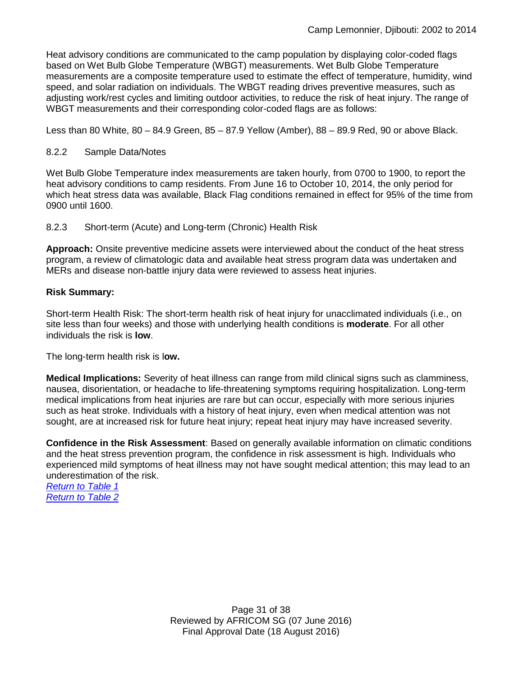Heat advisory conditions are communicated to the camp population by displaying color-coded flags based on Wet Bulb Globe Temperature (WBGT) measurements. Wet Bulb Globe Temperature measurements are a composite temperature used to estimate the effect of temperature, humidity, wind speed, and solar radiation on individuals. The WBGT reading drives preventive measures, such as adjusting work/rest cycles and limiting outdoor activities, to reduce the risk of heat injury. The range of WBGT measurements and their corresponding color-coded flags are as follows:

Less than 80 White, 80 – 84.9 Green, 85 – 87.9 Yellow (Amber), 88 – 89.9 Red, 90 or above Black.

### 8.2.2 Sample Data/Notes

Wet Bulb Globe Temperature index measurements are taken hourly, from 0700 to 1900, to report the heat advisory conditions to camp residents. From June 16 to October 10, 2014, the only period for which heat stress data was available, Black Flag conditions remained in effect for 95% of the time from 0900 until 1600.

8.2.3 Short-term (Acute) and Long-term (Chronic) Health Risk

**Approach:** Onsite preventive medicine assets were interviewed about the conduct of the heat stress program, a review of climatologic data and available heat stress program data was undertaken and MERs and disease non-battle injury data were reviewed to assess heat injuries.

### **Risk Summary:**

Short-term Health Risk: The short-term health risk of heat injury for unacclimated individuals (i.e., on site less than four weeks) and those with underlying health conditions is **moderate**. For all other individuals the risk is **low**.

The long-term health risk is l**ow.**

**Medical Implications:** Severity of heat illness can range from mild clinical signs such as clamminess, nausea, disorientation, or headache to life-threatening symptoms requiring hospitalization. Long-term medical implications from heat injuries are rare but can occur, especially with more serious injuries such as heat stroke. Individuals with a history of heat injury, even when medical attention was not sought, are at increased risk for future heat injury; repeat heat injury may have increased severity.

**Confidence in the Risk Assessment**: Based on generally available information on climatic conditions and the heat stress prevention program, the confidence in risk assessment is high. Individuals who experienced mild symptoms of heat illness may not have sought medical attention; this may lead to an underestimation of the risk.

*[Return to Table 1](#page-2-0) [Return to Table 2](#page-7-0)*

> Page 31 of 38 Reviewed by AFRICOM SG (07 June 2016) Final Approval Date (18 August 2016)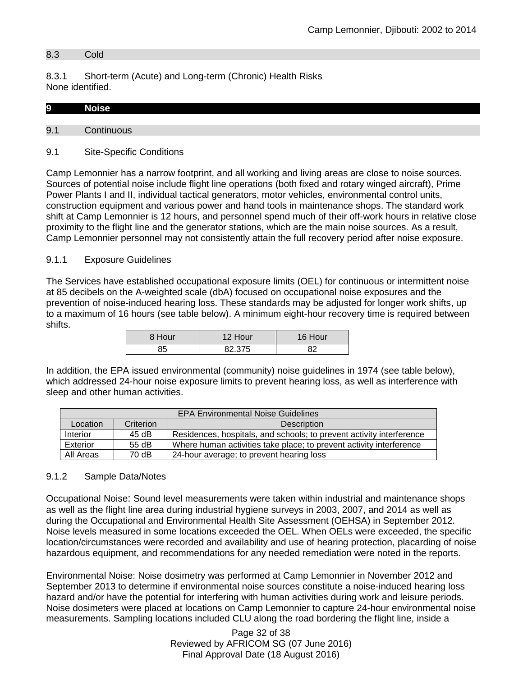### 8.3 Cold

8.3.1 Short-term (Acute) and Long-term (Chronic) Health Risks None identified.

| 9   |  |  |  |
|-----|--|--|--|
|     |  |  |  |
| 9.1 |  |  |  |

# <span id="page-31-0"></span>9.1 Site-Specific Conditions

Camp Lemonnier has a narrow footprint, and all working and living areas are close to noise sources. Sources of potential noise include flight line operations (both fixed and rotary winged aircraft), Prime Power Plants I and II, individual tactical generators, motor vehicles, environmental control units, construction equipment and various power and hand tools in maintenance shops. The standard work shift at Camp Lemonnier is 12 hours, and personnel spend much of their off-work hours in relative close proximity to the flight line and the generator stations, which are the main noise sources. As a result, Camp Lemonnier personnel may not consistently attain the full recovery period after noise exposure.

### 9.1.1 Exposure Guidelines

The Services have established occupational exposure limits (OEL) for continuous or intermittent noise at 85 decibels on the A-weighted scale (dbA) focused on occupational noise exposures and the prevention of noise-induced hearing loss. These standards may be adjusted for longer work shifts, up to a maximum of 16 hours (see table below). A minimum eight-hour recovery time is required between shifts.

| 8 Hour | 12 Hour | 16 Hour |
|--------|---------|---------|
| 85     | 82.375  | ດລ      |

In addition, the EPA issued environmental (community) noise guidelines in 1974 (see table below), which addressed 24-hour noise exposure limits to prevent hearing loss, as well as interference with sleep and other human activities.

| <b>EPA Environmental Noise Guidelines</b> |           |                                                                      |  |
|-------------------------------------------|-----------|----------------------------------------------------------------------|--|
| Location                                  | Criterion | <b>Description</b>                                                   |  |
| Interior                                  | 45 dB     | Residences, hospitals, and schools; to prevent activity interference |  |
| Exterior                                  | 55 dB     | Where human activities take place; to prevent activity interference  |  |
| All Areas                                 | 70 dB     | 24-hour average; to prevent hearing loss                             |  |

#### 9.1.2 Sample Data/Notes

Occupational Noise: Sound level measurements were taken within industrial and maintenance shops as well as the flight line area during industrial hygiene surveys in 2003, 2007, and 2014 as well as during the Occupational and Environmental Health Site Assessment (OEHSA) in September 2012. Noise levels measured in some locations exceeded the OEL. When OELs were exceeded, the specific location/circumstances were recorded and availability and use of hearing protection, placarding of noise hazardous equipment, and recommendations for any needed remediation were noted in the reports.

Environmental Noise: Noise dosimetry was performed at Camp Lemonnier in November 2012 and September 2013 to determine if environmental noise sources constitute a noise-induced hearing loss hazard and/or have the potential for interfering with human activities during work and leisure periods. Noise dosimeters were placed at locations on Camp Lemonnier to capture 24-hour environmental noise measurements. Sampling locations included CLU along the road bordering the flight line, inside a

> Page 32 of 38 Reviewed by AFRICOM SG (07 June 2016) Final Approval Date (18 August 2016)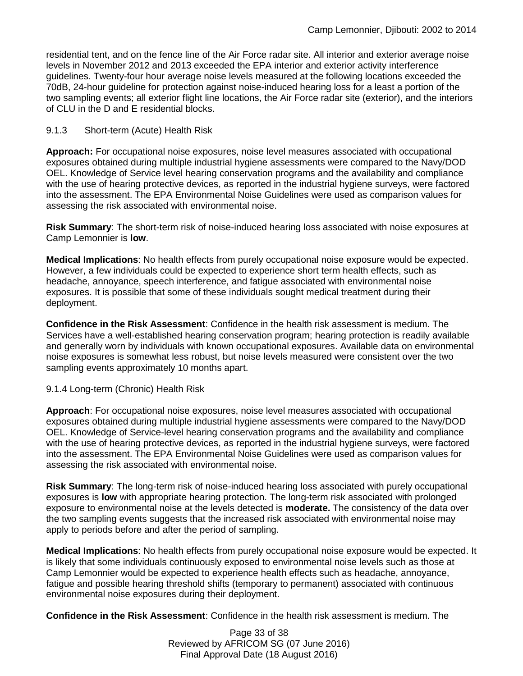residential tent, and on the fence line of the Air Force radar site. All interior and exterior average noise levels in November 2012 and 2013 exceeded the EPA interior and exterior activity interference guidelines. Twenty-four hour average noise levels measured at the following locations exceeded the 70dB, 24-hour guideline for protection against noise-induced hearing loss for a least a portion of the two sampling events; all exterior flight line locations, the Air Force radar site (exterior), and the interiors of CLU in the D and E residential blocks.

### 9.1.3 Short-term (Acute) Health Risk

**Approach:** For occupational noise exposures, noise level measures associated with occupational exposures obtained during multiple industrial hygiene assessments were compared to the Navy/DOD OEL. Knowledge of Service level hearing conservation programs and the availability and compliance with the use of hearing protective devices, as reported in the industrial hygiene surveys, were factored into the assessment. The EPA Environmental Noise Guidelines were used as comparison values for assessing the risk associated with environmental noise.

**Risk Summary**: The short-term risk of noise-induced hearing loss associated with noise exposures at Camp Lemonnier is **low**.

**Medical Implications**: No health effects from purely occupational noise exposure would be expected. However, a few individuals could be expected to experience short term health effects, such as headache, annoyance, speech interference, and fatigue associated with environmental noise exposures. It is possible that some of these individuals sought medical treatment during their deployment.

**Confidence in the Risk Assessment**: Confidence in the health risk assessment is medium. The Services have a well-established hearing conservation program; hearing protection is readily available and generally worn by individuals with known occupational exposures. Available data on environmental noise exposures is somewhat less robust, but noise levels measured were consistent over the two sampling events approximately 10 months apart.

#### 9.1.4 Long-term (Chronic) Health Risk

**Approach**: For occupational noise exposures, noise level measures associated with occupational exposures obtained during multiple industrial hygiene assessments were compared to the Navy/DOD OEL. Knowledge of Service-level hearing conservation programs and the availability and compliance with the use of hearing protective devices, as reported in the industrial hygiene surveys, were factored into the assessment. The EPA Environmental Noise Guidelines were used as comparison values for assessing the risk associated with environmental noise.

**Risk Summary**: The long-term risk of noise-induced hearing loss associated with purely occupational exposures is **low** with appropriate hearing protection. The long-term risk associated with prolonged exposure to environmental noise at the levels detected is **moderate.** The consistency of the data over the two sampling events suggests that the increased risk associated with environmental noise may apply to periods before and after the period of sampling.

**Medical Implications**: No health effects from purely occupational noise exposure would be expected. It is likely that some individuals continuously exposed to environmental noise levels such as those at Camp Lemonnier would be expected to experience health effects such as headache, annoyance, fatigue and possible hearing threshold shifts (temporary to permanent) associated with continuous environmental noise exposures during their deployment.

**Confidence in the Risk Assessment**: Confidence in the health risk assessment is medium. The

Page 33 of 38 Reviewed by AFRICOM SG (07 June 2016) Final Approval Date (18 August 2016)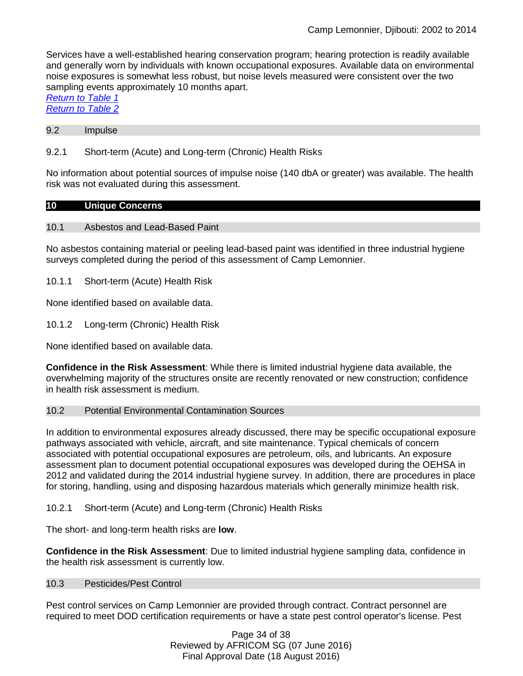Services have a well-established hearing conservation program; hearing protection is readily available and generally worn by individuals with known occupational exposures. Available data on environmental noise exposures is somewhat less robust, but noise levels measured were consistent over the two sampling events approximately 10 months apart.

*[Return to Table 1](#page-2-0) [Return to Table 2](#page-7-1)*

#### 9.2 Impulse

### 9.2.1 Short-term (Acute) and Long-term (Chronic) Health Risks

No information about potential sources of impulse noise (140 dbA or greater) was available. The health risk was not evaluated during this assessment.

#### **10 Unique Concerns**

#### 10.1 Asbestos and Lead-Based Paint

No asbestos containing material or peeling lead-based paint was identified in three industrial hygiene surveys completed during the period of this assessment of Camp Lemonnier.

10.1.1 Short-term (Acute) Health Risk

None identified based on available data.

10.1.2 Long-term (Chronic) Health Risk

None identified based on available data.

**Confidence in the Risk Assessment**: While there is limited industrial hygiene data available, the overwhelming majority of the structures onsite are recently renovated or new construction; confidence in health risk assessment is medium.

#### 10.2 Potential Environmental Contamination Sources

In addition to environmental exposures already discussed, there may be specific occupational exposure pathways associated with vehicle, aircraft, and site maintenance. Typical chemicals of concern associated with potential occupational exposures are petroleum, oils, and lubricants. An exposure assessment plan to document potential occupational exposures was developed during the OEHSA in 2012 and validated during the 2014 industrial hygiene survey. In addition, there are procedures in place for storing, handling, using and disposing hazardous materials which generally minimize health risk.

10.2.1 Short-term (Acute) and Long-term (Chronic) Health Risks

The short- and long-term health risks are **low**.

**Confidence in the Risk Assessment**: Due to limited industrial hygiene sampling data, confidence in the health risk assessment is currently low.

#### 10.3 Pesticides/Pest Control

Pest control services on Camp Lemonnier are provided through contract. Contract personnel are required to meet DOD certification requirements or have a state pest control operator's license. Pest

> Page 34 of 38 Reviewed by AFRICOM SG (07 June 2016) Final Approval Date (18 August 2016)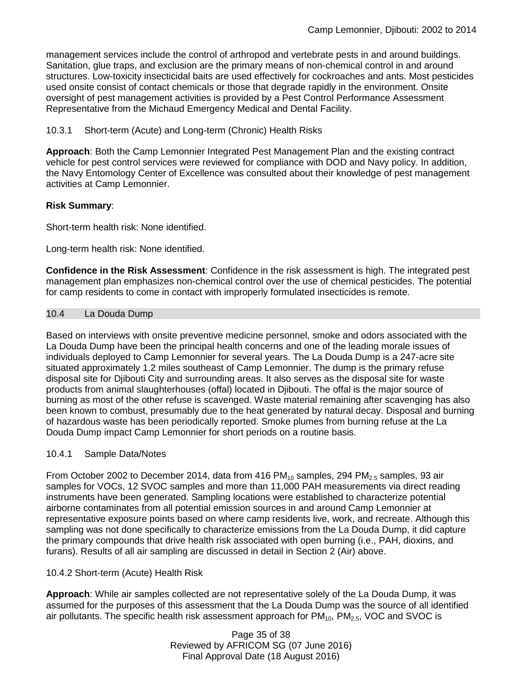management services include the control of arthropod and vertebrate pests in and around buildings. Sanitation, glue traps, and exclusion are the primary means of non-chemical control in and around structures. Low-toxicity insecticidal baits are used effectively for cockroaches and ants. Most pesticides used onsite consist of contact chemicals or those that degrade rapidly in the environment. Onsite oversight of pest management activities is provided by a Pest Control Performance Assessment Representative from the Michaud Emergency Medical and Dental Facility.

10.3.1 Short-term (Acute) and Long-term (Chronic) Health Risks

**Approach**: Both the Camp Lemonnier Integrated Pest Management Plan and the existing contract vehicle for pest control services were reviewed for compliance with DOD and Navy policy. In addition, the Navy Entomology Center of Excellence was consulted about their knowledge of pest management activities at Camp Lemonnier.

### **Risk Summary**:

Short-term health risk: None identified.

Long-term health risk: None identified.

**Confidence in the Risk Assessment**: Confidence in the risk assessment is high. The integrated pest management plan emphasizes non-chemical control over the use of chemical pesticides. The potential for camp residents to come in contact with improperly formulated insecticides is remote.

#### <span id="page-34-0"></span>10.4 La Douda Dump

Based on interviews with onsite preventive medicine personnel, smoke and odors associated with the La Douda Dump have been the principal health concerns and one of the leading morale issues of individuals deployed to Camp Lemonnier for several years. The La Douda Dump is a 247-acre site situated approximately 1.2 miles southeast of Camp Lemonnier. The dump is the primary refuse disposal site for Djibouti City and surrounding areas. It also serves as the disposal site for waste products from animal slaughterhouses (offal) located in Djibouti. The offal is the major source of burning as most of the other refuse is scavenged. Waste material remaining after scavenging has also been known to combust, presumably due to the heat generated by natural decay. Disposal and burning of hazardous waste has been periodically reported. Smoke plumes from burning refuse at the La Douda Dump impact Camp Lemonnier for short periods on a routine basis.

#### 10.4.1 Sample Data/Notes

From October 2002 to December 2014, data from 416 PM $_{10}$  samples, 294 PM $_{2.5}$  samples, 93 air samples for VOCs, 12 SVOC samples and more than 11,000 PAH measurements via direct reading instruments have been generated. Sampling locations were established to characterize potential airborne contaminates from all potential emission sources in and around Camp Lemonnier at representative exposure points based on where camp residents live, work, and recreate. Although this sampling was not done specifically to characterize emissions from the La Douda Dump, it did capture the primary compounds that drive health risk associated with open burning (i.e., PAH, dioxins, and furans). Results of all air sampling are discussed in detail in Section 2 (Air) above.

10.4.2 Short-term (Acute) Health Risk

**Approach**: While air samples collected are not representative solely of the La Douda Dump, it was assumed for the purposes of this assessment that the La Douda Dump was the source of all identified air pollutants. The specific health risk assessment approach for  $PM_{10}$ ,  $PM_{2.5}$ , VOC and SVOC is

> Page 35 of 38 Reviewed by AFRICOM SG (07 June 2016) Final Approval Date (18 August 2016)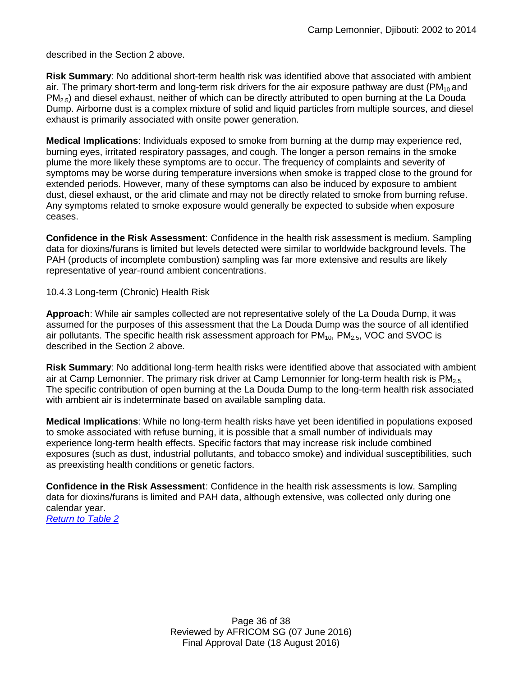described in the Section 2 above.

**Risk Summary**: No additional short-term health risk was identified above that associated with ambient air. The primary short-term and long-term risk drivers for the air exposure pathway are dust (PM $_{10}$  and  $PM<sub>2.5</sub>$ ) and diesel exhaust, neither of which can be directly attributed to open burning at the La Douda Dump. Airborne dust is a complex mixture of solid and liquid particles from multiple sources, and diesel exhaust is primarily associated with onsite power generation.

**Medical Implications**: Individuals exposed to smoke from burning at the dump may experience red, burning eyes, irritated respiratory passages, and cough. The longer a person remains in the smoke plume the more likely these symptoms are to occur. The frequency of complaints and severity of symptoms may be worse during temperature inversions when smoke is trapped close to the ground for extended periods. However, many of these symptoms can also be induced by exposure to ambient dust, diesel exhaust, or the arid climate and may not be directly related to smoke from burning refuse. Any symptoms related to smoke exposure would generally be expected to subside when exposure ceases.

**Confidence in the Risk Assessment**: Confidence in the health risk assessment is medium. Sampling data for dioxins/furans is limited but levels detected were similar to worldwide background levels. The PAH (products of incomplete combustion) sampling was far more extensive and results are likely representative of year-round ambient concentrations.

10.4.3 Long-term (Chronic) Health Risk

**Approach**: While air samples collected are not representative solely of the La Douda Dump, it was assumed for the purposes of this assessment that the La Douda Dump was the source of all identified air pollutants. The specific health risk assessment approach for  $PM_{10}$ ,  $PM_{2.5}$ , VOC and SVOC is described in the Section 2 above.

**Risk Summary**: No additional long-term health risks were identified above that associated with ambient air at Camp Lemonnier. The primary risk driver at Camp Lemonnier for long-term health risk is  $PM_{2.5}$ . The specific contribution of open burning at the La Douda Dump to the long-term health risk associated with ambient air is indeterminate based on available sampling data.

**Medical Implications**: While no long-term health risks have yet been identified in populations exposed to smoke associated with refuse burning, it is possible that a small number of individuals may experience long-term health effects. Specific factors that may increase risk include combined exposures (such as dust, industrial pollutants, and tobacco smoke) and individual susceptibilities, such as preexisting health conditions or genetic factors.

**Confidence in the Risk Assessment**: Confidence in the health risk assessments is low. Sampling data for dioxins/furans is limited and PAH data, although extensive, was collected only during one calendar year.

*[Return to Table 2](#page-7-2)*

Page 36 of 38 Reviewed by AFRICOM SG (07 June 2016) Final Approval Date (18 August 2016)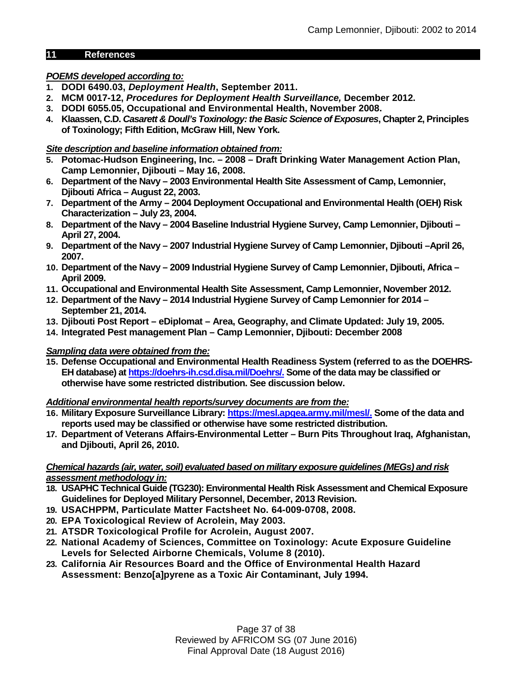### **11 References**

### *POEMS developed according to:*

- **1. DODI 6490.03,** *Deployment Health***, September 2011.**
- **2. MCM 0017-12,** *Procedures for Deployment Health Surveillance,* **December 2012.**
- **3. DODI 6055.05, Occupational and Environmental Health, November 2008.**
- **4. Klaassen, C.D.** *Casarett & Doull's Toxinology: the Basic Science of Exposures***, Chapter 2, Principles of Toxinology; Fifth Edition, McGraw Hill, New York.**

### *Site description and baseline information obtained from:*

- **5. Potomac-Hudson Engineering, Inc. – 2008 – Draft Drinking Water Management Action Plan, Camp Lemonnier, Djibouti – May 16, 2008.**
- **6. Department of the Navy – 2003 Environmental Health Site Assessment of Camp, Lemonnier, Djibouti Africa – August 22, 2003.**
- **7. Department of the Army – 2004 Deployment Occupational and Environmental Health (OEH) Risk Characterization – July 23, 2004.**
- **8. Department of the Navy – 2004 Baseline Industrial Hygiene Survey, Camp Lemonnier, Djibouti – April 27, 2004.**
- **9. Department of the Navy – 2007 Industrial Hygiene Survey of Camp Lemonnier, Djibouti –April 26, 2007.**
- **10. Department of the Navy – 2009 Industrial Hygiene Survey of Camp Lemonnier, Djibouti, Africa – April 2009.**
- **11. Occupational and Environmental Health Site Assessment, Camp Lemonnier, November 2012.**
- **12. Department of the Navy – 2014 Industrial Hygiene Survey of Camp Lemonnier for 2014 – September 21, 2014.**
- **13. Djibouti Post Report – eDiplomat – Area, Geography, and Climate Updated: July 19, 2005.**
- **14. Integrated Pest management Plan – Camp Lemonnier, Djibouti: December 2008**

### *Sampling data were obtained from the:*

**15. Defense Occupational and Environmental Health Readiness System (referred to as the DOEHRS-EH database) at [https://doehrs-ih.csd.disa.mil/Doehrs/.](https://doehrs-ih.csd.disa.mil/Doehrs/) Some of the data may be classified or otherwise have some restricted distribution. See discussion below.**

*Additional environmental health reports/survey documents are from the:*

- **16. Military Exposure Surveillance Library: https://mesl.apgea.army.mil/mesl/. Some of the data and reports used may be classified or otherwise have some restricted distribution.**
- **17. Department of Veterans Affairs-Environmental Letter – Burn Pits Throughout Iraq, Afghanistan, and Djibouti, April 26, 2010.**

### *Chemical hazards (air, water, soil) evaluated based on military exposure guidelines (MEGs) and risk assessment methodology in:*

- **18. USAPHC Technical Guide (TG230): Environmental Health Risk Assessment and Chemical Exposure Guidelines for Deployed Military Personnel, December, 2013 Revision.**
- **19. USACHPPM, Particulate Matter Factsheet No. 64-009-0708, 2008.**
- **20. EPA Toxicological Review of Acrolein, May 2003.**
- **21. ATSDR Toxicological Profile for Acrolein, August 2007.**
- **22. National Academy of Sciences, Committee on Toxinology: Acute Exposure Guideline Levels for Selected Airborne Chemicals, Volume 8 (2010).**
- **23. California Air Resources Board and the Office of Environmental Health Hazard Assessment: Benzo[a]pyrene as a Toxic Air Contaminant, July 1994.**